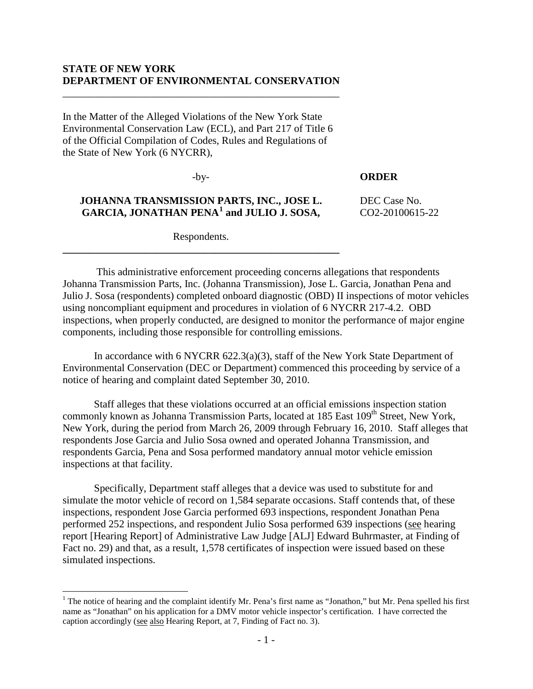## **STATE OF NEW YORK DEPARTMENT OF ENVIRONMENTAL CONSERVATION**

\_\_\_\_\_\_\_\_\_\_\_\_\_\_\_\_\_\_\_\_\_\_\_\_\_\_\_\_\_\_\_\_\_\_\_\_\_\_\_\_\_\_\_\_\_\_\_\_\_\_\_\_\_

In the Matter of the Alleged Violations of the New York State Environmental Conservation Law (ECL), and Part 217 of Title 6 of the Official Compilation of Codes, Rules and Regulations of the State of New York (6 NYCRR),

-by-

## **ORDER**

# **JOHANNA TRANSMISSION PARTS, INC., JOSE L. GARCIA, JONATHAN PENA[1](#page-0-0) and JULIO J. SOSA,**

DEC Case No. CO2-20100615-22

Respondents. **\_\_\_\_\_\_\_\_\_\_\_\_\_\_\_\_\_\_\_\_\_\_\_\_\_\_\_\_\_\_\_\_\_\_\_\_\_\_\_\_\_\_\_\_\_\_\_\_\_\_\_\_\_**

This administrative enforcement proceeding concerns allegations that respondents Johanna Transmission Parts, Inc. (Johanna Transmission), Jose L. Garcia, Jonathan Pena and Julio J. Sosa (respondents) completed onboard diagnostic (OBD) II inspections of motor vehicles using noncompliant equipment and procedures in violation of 6 NYCRR 217-4.2. OBD inspections, when properly conducted, are designed to monitor the performance of major engine components, including those responsible for controlling emissions.

In accordance with 6 NYCRR 622.3(a)(3), staff of the New York State Department of Environmental Conservation (DEC or Department) commenced this proceeding by service of a notice of hearing and complaint dated September 30, 2010.

Staff alleges that these violations occurred at an official emissions inspection station commonly known as Johanna Transmission Parts, located at 185 East 109<sup>th</sup> Street, New York, New York, during the period from March 26, 2009 through February 16, 2010. Staff alleges that respondents Jose Garcia and Julio Sosa owned and operated Johanna Transmission, and respondents Garcia, Pena and Sosa performed mandatory annual motor vehicle emission inspections at that facility.

Specifically, Department staff alleges that a device was used to substitute for and simulate the motor vehicle of record on 1,584 separate occasions. Staff contends that, of these inspections, respondent Jose Garcia performed 693 inspections, respondent Jonathan Pena performed 252 inspections, and respondent Julio Sosa performed 639 inspections (see hearing report [Hearing Report] of Administrative Law Judge [ALJ] Edward Buhrmaster, at Finding of Fact no. 29) and that, as a result, 1,578 certificates of inspection were issued based on these simulated inspections.

 $\overline{a}$ 

<span id="page-0-0"></span><sup>&</sup>lt;sup>1</sup> The notice of hearing and the complaint identify Mr. Pena's first name as "Jonathon," but Mr. Pena spelled his first name as "Jonathan" on his application for a DMV motor vehicle inspector's certification. I have corrected the caption accordingly (see also Hearing Report, at 7, Finding of Fact no. 3).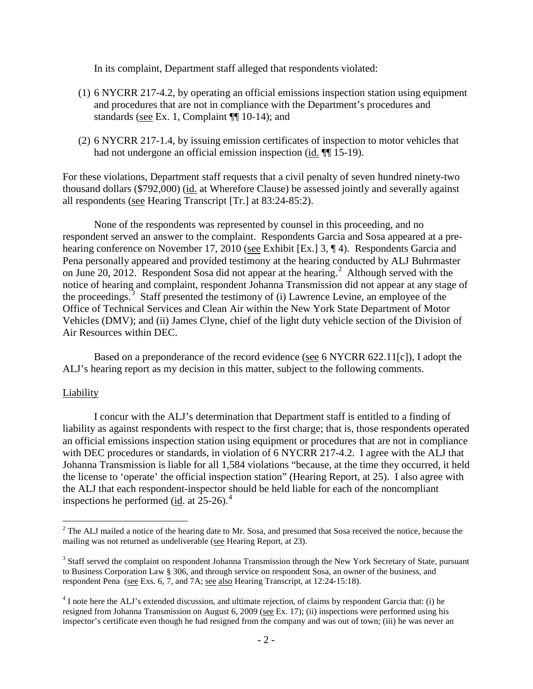In its complaint, Department staff alleged that respondents violated:

- (1) 6 NYCRR 217-4.2, by operating an official emissions inspection station using equipment and procedures that are not in compliance with the Department's procedures and standards (see Ex. 1, Complaint ¶¶ 10-14); and
- (2) 6 NYCRR 217-1.4, by issuing emission certificates of inspection to motor vehicles that had not undergone an official emission inspection (id.  $\P$ [15-19).

For these violations, Department staff requests that a civil penalty of seven hundred ninety-two thousand dollars (\$792,000) (id. at Wherefore Clause) be assessed jointly and severally against all respondents (see Hearing Transcript [Tr.] at 83:24-85:2).

None of the respondents was represented by counsel in this proceeding, and no respondent served an answer to the complaint. Respondents Garcia and Sosa appeared at a prehearing conference on November 17, 2010 (see Exhibit [Ex.] 3, ¶ 4). Respondents Garcia and Pena personally appeared and provided testimony at the hearing conducted by ALJ Buhrmaster on June [2](#page-1-0)0, 2012. Respondent Sosa did not appear at the hearing.<sup>2</sup> Although served with the notice of hearing and complaint, respondent Johanna Transmission did not appear at any stage of the proceedings. [3](#page-1-1) Staff presented the testimony of (i) Lawrence Levine, an employee of the Office of Technical Services and Clean Air within the New York State Department of Motor Vehicles (DMV); and (ii) James Clyne, chief of the light duty vehicle section of the Division of Air Resources within DEC.

Based on a preponderance of the record evidence (see 6 NYCRR 622.11[c]), I adopt the ALJ's hearing report as my decision in this matter, subject to the following comments.

## Liability

 $\overline{a}$ 

I concur with the ALJ's determination that Department staff is entitled to a finding of liability as against respondents with respect to the first charge; that is, those respondents operated an official emissions inspection station using equipment or procedures that are not in compliance with DEC procedures or standards, in violation of 6 NYCRR 217-4.2. I agree with the ALJ that Johanna Transmission is liable for all 1,584 violations "because, at the time they occurred, it held the license to 'operate' the official inspection station" (Hearing Report, at 25). I also agree with the ALJ that each respondent-inspector should be held liable for each of the noncompliant inspections he performed (id. at  $25-26$ ).<sup>[4](#page-1-2)</sup>

<span id="page-1-0"></span> $2$  The ALJ mailed a notice of the hearing date to Mr. Sosa, and presumed that Sosa received the notice, because the mailing was not returned as undeliverable (see Hearing Report, at 23).

<span id="page-1-1"></span><sup>&</sup>lt;sup>3</sup> Staff served the complaint on respondent Johanna Transmission through the New York Secretary of State, pursuant to Business Corporation Law § 306, and through service on respondent Sosa, an owner of the business, and respondent Pena (see Exs. 6, 7, and 7A; see also Hearing Transcript, at 12:24-15:18).

<span id="page-1-2"></span><sup>4</sup> I note here the ALJ's extended discussion, and ultimate rejection, of claims by respondent Garcia that: (i) he resigned from Johanna Transmission on August 6, 2009 (see Ex. 17); (ii) inspections were performed using his inspector's certificate even though he had resigned from the company and was out of town; (iii) he was never an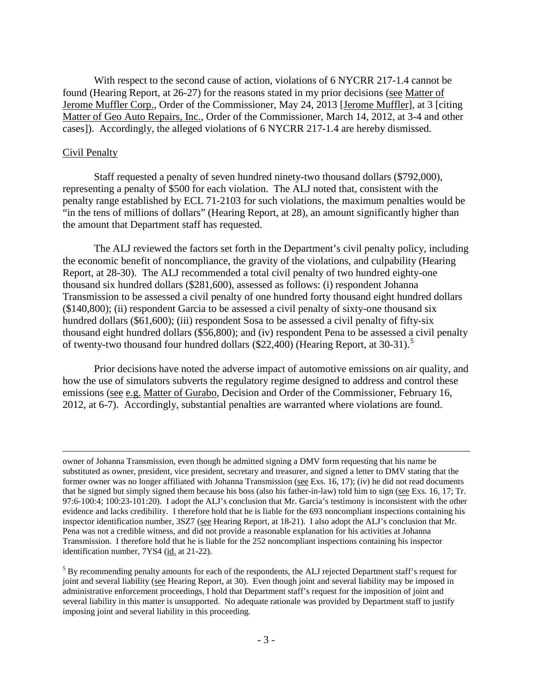With respect to the second cause of action, violations of 6 NYCRR 217-1.4 cannot be found (Hearing Report, at 26-27) for the reasons stated in my prior decisions (see Matter of Jerome Muffler Corp., Order of the Commissioner, May 24, 2013 [Jerome Muffler], at 3 [citing Matter of Geo Auto Repairs, Inc., Order of the Commissioner, March 14, 2012, at 3-4 and other cases]). Accordingly, the alleged violations of 6 NYCRR 217-1.4 are hereby dismissed.

## Civil Penalty

 $\overline{a}$ 

Staff requested a penalty of seven hundred ninety-two thousand dollars (\$792,000), representing a penalty of \$500 for each violation. The ALJ noted that, consistent with the penalty range established by ECL 71-2103 for such violations, the maximum penalties would be "in the tens of millions of dollars" (Hearing Report, at 28), an amount significantly higher than the amount that Department staff has requested.

The ALJ reviewed the factors set forth in the Department's civil penalty policy, including the economic benefit of noncompliance, the gravity of the violations, and culpability (Hearing Report, at 28-30). The ALJ recommended a total civil penalty of two hundred eighty-one thousand six hundred dollars (\$281,600), assessed as follows: (i) respondent Johanna Transmission to be assessed a civil penalty of one hundred forty thousand eight hundred dollars (\$140,800); (ii) respondent Garcia to be assessed a civil penalty of sixty-one thousand six hundred dollars (\$61,600); (iii) respondent Sosa to be assessed a civil penalty of fifty-six thousand eight hundred dollars (\$56,800); and (iv) respondent Pena to be assessed a civil penalty of twenty-two thousand four hundred dollars  $(\$22,400)$  (Hearing Report, at 30-31).<sup>[5](#page-2-0)</sup>

Prior decisions have noted the adverse impact of automotive emissions on air quality, and how the use of simulators subverts the regulatory regime designed to address and control these emissions (see e.g. Matter of Gurabo, Decision and Order of the Commissioner, February 16, 2012, at 6-7). Accordingly, substantial penalties are warranted where violations are found.

owner of Johanna Transmission, even though he admitted signing a DMV form requesting that his name be substituted as owner, president, vice president, secretary and treasurer, and signed a letter to DMV stating that the former owner was no longer affiliated with Johanna Transmission (see Exs. 16, 17); (iv) he did not read documents that he signed but simply signed them because his boss (also his father-in-law) told him to sign (see Exs. 16, 17; Tr. 97:6-100:4; 100:23-101:20). I adopt the ALJ's conclusion that Mr. Garcia's testimony is inconsistent with the other evidence and lacks credibility. I therefore hold that he is liable for the 693 noncompliant inspections containing his inspector identification number, 3SZ7 (see Hearing Report, at 18-21). I also adopt the ALJ's conclusion that Mr. Pena was not a credible witness, and did not provide a reasonable explanation for his activities at Johanna Transmission. I therefore hold that he is liable for the 252 noncompliant inspections containing his inspector identification number, 7YS4 (id. at 21-22).

<span id="page-2-0"></span><sup>&</sup>lt;sup>5</sup> By recommending penalty amounts for each of the respondents, the ALJ rejected Department staff's request for joint and several liability (see Hearing Report, at 30). Even though joint and several liability may be imposed in administrative enforcement proceedings, I hold that Department staff's request for the imposition of joint and several liability in this matter is unsupported. No adequate rationale was provided by Department staff to justify imposing joint and several liability in this proceeding.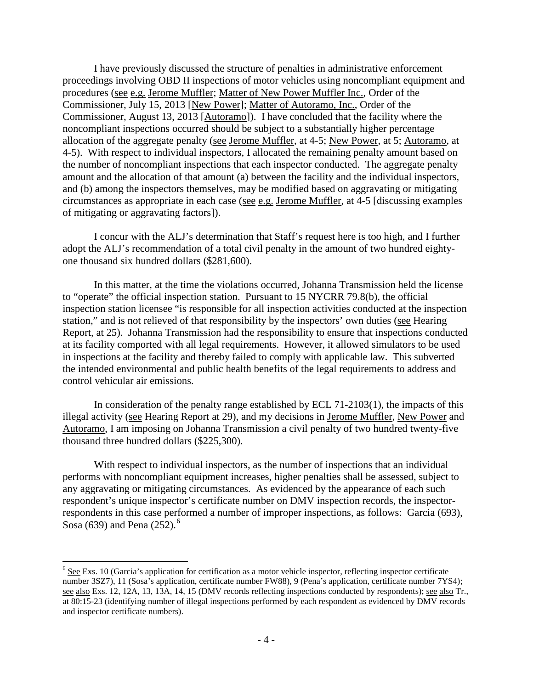I have previously discussed the structure of penalties in administrative enforcement proceedings involving OBD II inspections of motor vehicles using noncompliant equipment and procedures (see e.g. Jerome Muffler; Matter of New Power Muffler Inc., Order of the Commissioner, July 15, 2013 [New Power]; Matter of Autoramo, Inc., Order of the Commissioner, August 13, 2013 [Autoramo]). I have concluded that the facility where the noncompliant inspections occurred should be subject to a substantially higher percentage allocation of the aggregate penalty (see Jerome Muffler, at 4-5; New Power, at 5; Autoramo, at 4-5). With respect to individual inspectors, I allocated the remaining penalty amount based on the number of noncompliant inspections that each inspector conducted. The aggregate penalty amount and the allocation of that amount (a) between the facility and the individual inspectors, and (b) among the inspectors themselves, may be modified based on aggravating or mitigating circumstances as appropriate in each case (see e.g. Jerome Muffler, at 4-5 [discussing examples of mitigating or aggravating factors]).

I concur with the ALJ's determination that Staff's request here is too high, and I further adopt the ALJ's recommendation of a total civil penalty in the amount of two hundred eightyone thousand six hundred dollars (\$281,600).

In this matter, at the time the violations occurred, Johanna Transmission held the license to "operate" the official inspection station. Pursuant to 15 NYCRR 79.8(b), the official inspection station licensee "is responsible for all inspection activities conducted at the inspection station," and is not relieved of that responsibility by the inspectors' own duties (see Hearing Report, at 25). Johanna Transmission had the responsibility to ensure that inspections conducted at its facility comported with all legal requirements. However, it allowed simulators to be used in inspections at the facility and thereby failed to comply with applicable law. This subverted the intended environmental and public health benefits of the legal requirements to address and control vehicular air emissions.

In consideration of the penalty range established by ECL 71-2103(1), the impacts of this illegal activity (see Hearing Report at 29), and my decisions in Jerome Muffler, New Power and Autoramo, I am imposing on Johanna Transmission a civil penalty of two hundred twenty-five thousand three hundred dollars (\$225,300).

With respect to individual inspectors, as the number of inspections that an individual performs with noncompliant equipment increases, higher penalties shall be assessed, subject to any aggravating or mitigating circumstances. As evidenced by the appearance of each such respondent's unique inspector's certificate number on DMV inspection records, the inspectorrespondents in this case performed a number of improper inspections, as follows: Garcia (693), Sosa ([6](#page-3-0)39) and Pena (252).<sup>6</sup>

 $\overline{a}$ 

<span id="page-3-0"></span> $6$  See Exs. 10 (Garcia's application for certification as a motor vehicle inspector, reflecting inspector certificate number 3SZ7), 11 (Sosa's application, certificate number FW88), 9 (Pena's application, certificate number 7YS4); see also Exs. 12, 12A, 13, 13A, 14, 15 (DMV records reflecting inspections conducted by respondents); see also Tr., at 80:15-23 (identifying number of illegal inspections performed by each respondent as evidenced by DMV records and inspector certificate numbers).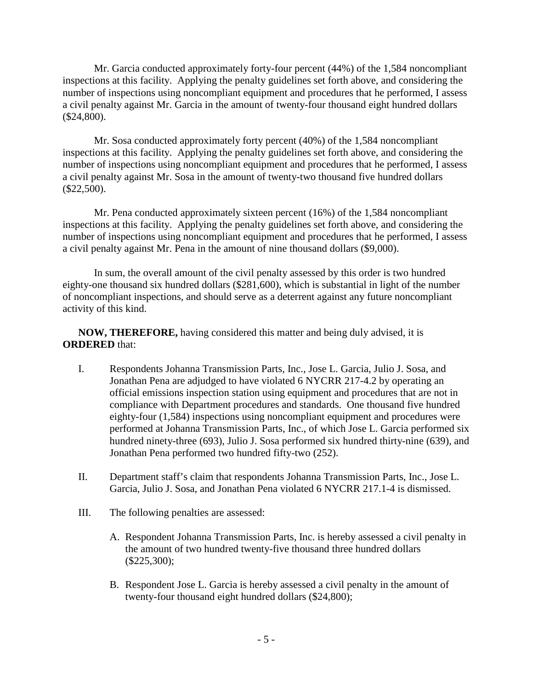Mr. Garcia conducted approximately forty-four percent (44%) of the 1,584 noncompliant inspections at this facility. Applying the penalty guidelines set forth above, and considering the number of inspections using noncompliant equipment and procedures that he performed, I assess a civil penalty against Mr. Garcia in the amount of twenty-four thousand eight hundred dollars (\$24,800).

Mr. Sosa conducted approximately forty percent (40%) of the 1,584 noncompliant inspections at this facility. Applying the penalty guidelines set forth above, and considering the number of inspections using noncompliant equipment and procedures that he performed, I assess a civil penalty against Mr. Sosa in the amount of twenty-two thousand five hundred dollars (\$22,500).

Mr. Pena conducted approximately sixteen percent (16%) of the 1,584 noncompliant inspections at this facility. Applying the penalty guidelines set forth above, and considering the number of inspections using noncompliant equipment and procedures that he performed, I assess a civil penalty against Mr. Pena in the amount of nine thousand dollars (\$9,000).

In sum, the overall amount of the civil penalty assessed by this order is two hundred eighty-one thousand six hundred dollars (\$281,600), which is substantial in light of the number of noncompliant inspections, and should serve as a deterrent against any future noncompliant activity of this kind.

**NOW, THEREFORE,** having considered this matter and being duly advised, it is **ORDERED** that:

- I. Respondents Johanna Transmission Parts, Inc., Jose L. Garcia, Julio J. Sosa, and Jonathan Pena are adjudged to have violated 6 NYCRR 217-4.2 by operating an official emissions inspection station using equipment and procedures that are not in compliance with Department procedures and standards. One thousand five hundred eighty-four (1,584) inspections using noncompliant equipment and procedures were performed at Johanna Transmission Parts, Inc., of which Jose L. Garcia performed six hundred ninety-three (693), Julio J. Sosa performed six hundred thirty-nine (639), and Jonathan Pena performed two hundred fifty-two (252).
- II. Department staff's claim that respondents Johanna Transmission Parts, Inc., Jose L. Garcia, Julio J. Sosa, and Jonathan Pena violated 6 NYCRR 217.1-4 is dismissed.
- III. The following penalties are assessed:
	- A. Respondent Johanna Transmission Parts, Inc. is hereby assessed a civil penalty in the amount of two hundred twenty-five thousand three hundred dollars (\$225,300);
	- B. Respondent Jose L. Garcia is hereby assessed a civil penalty in the amount of twenty-four thousand eight hundred dollars (\$24,800);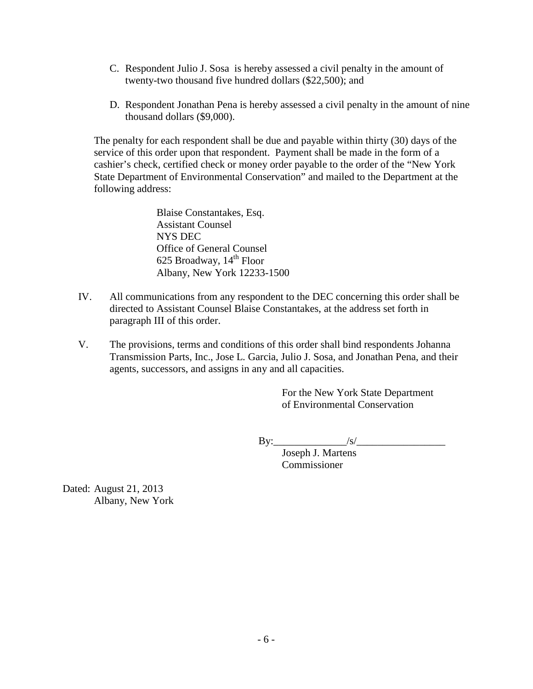- C. Respondent Julio J. Sosa is hereby assessed a civil penalty in the amount of twenty-two thousand five hundred dollars (\$22,500); and
- D. Respondent Jonathan Pena is hereby assessed a civil penalty in the amount of nine thousand dollars (\$9,000).

The penalty for each respondent shall be due and payable within thirty (30) days of the service of this order upon that respondent. Payment shall be made in the form of a cashier's check, certified check or money order payable to the order of the "New York State Department of Environmental Conservation" and mailed to the Department at the following address:

> Blaise Constantakes, Esq. Assistant Counsel NYS DEC Office of General Counsel 625 Broadway,  $14<sup>th</sup>$  Floor Albany, New York 12233-1500

- IV. All communications from any respondent to the DEC concerning this order shall be directed to Assistant Counsel Blaise Constantakes, at the address set forth in paragraph III of this order.
- V. The provisions, terms and conditions of this order shall bind respondents Johanna Transmission Parts, Inc., Jose L. Garcia, Julio J. Sosa, and Jonathan Pena, and their agents, successors, and assigns in any and all capacities.

For the New York State Department of Environmental Conservation

By:\_\_\_\_\_\_\_\_\_\_\_\_\_\_/s/\_\_\_\_\_\_\_\_\_\_\_\_\_\_\_\_\_

Joseph J. Martens Commissioner

Dated: August 21, 2013 Albany, New York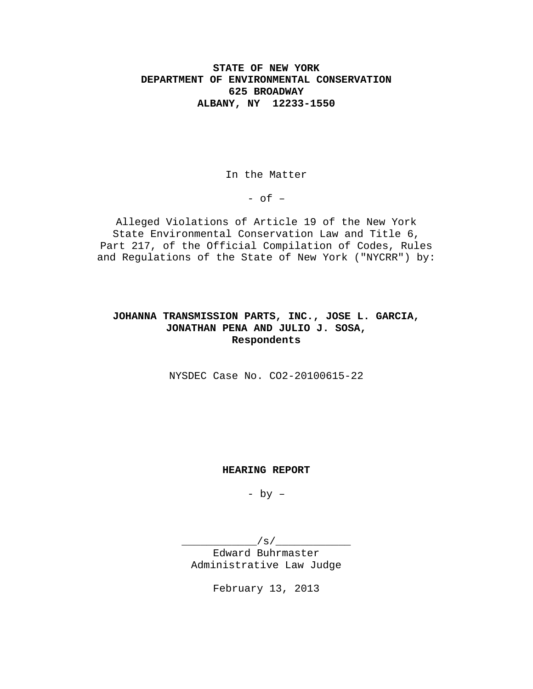## **STATE OF NEW YORK DEPARTMENT OF ENVIRONMENTAL CONSERVATION 625 BROADWAY ALBANY, NY 12233-1550**

In the Matter

 $-$  of  $-$ 

Alleged Violations of Article 19 of the New York State Environmental Conservation Law and Title 6, Part 217, of the Official Compilation of Codes, Rules and Regulations of the State of New York ("NYCRR") by:

## **JOHANNA TRANSMISSION PARTS, INC., JOSE L. GARCIA, JONATHAN PENA AND JULIO J. SOSA, Respondents**

NYSDEC Case No. CO2-20100615-22

#### **HEARING REPORT**

- by –

 $/\,\mathrm{s}/\,\sim$ Edward Buhrmaster Administrative Law Judge

February 13, 2013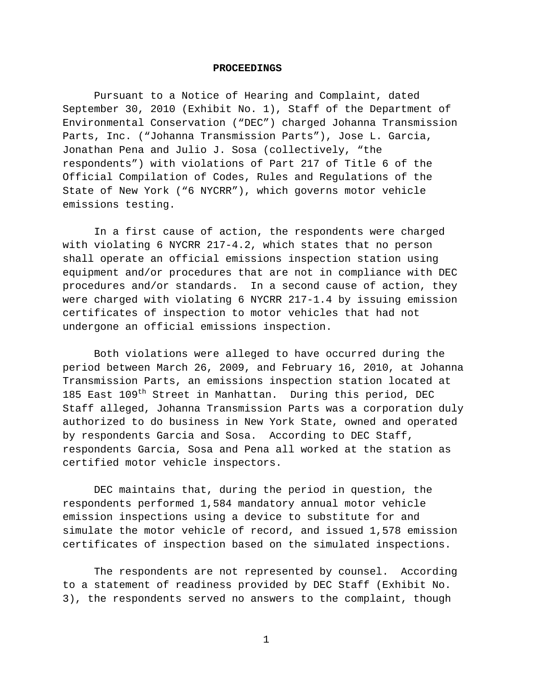#### **PROCEEDINGS**

Pursuant to a Notice of Hearing and Complaint, dated September 30, 2010 (Exhibit No. 1), Staff of the Department of Environmental Conservation ("DEC") charged Johanna Transmission Parts, Inc. ("Johanna Transmission Parts"), Jose L. Garcia, Jonathan Pena and Julio J. Sosa (collectively, "the respondents") with violations of Part 217 of Title 6 of the Official Compilation of Codes, Rules and Regulations of the State of New York ("6 NYCRR"), which governs motor vehicle emissions testing.

In a first cause of action, the respondents were charged with violating 6 NYCRR 217-4.2, which states that no person shall operate an official emissions inspection station using equipment and/or procedures that are not in compliance with DEC procedures and/or standards. In a second cause of action, they were charged with violating 6 NYCRR 217-1.4 by issuing emission certificates of inspection to motor vehicles that had not undergone an official emissions inspection.

Both violations were alleged to have occurred during the period between March 26, 2009, and February 16, 2010, at Johanna Transmission Parts, an emissions inspection station located at 185 East 109<sup>th</sup> Street in Manhattan. During this period, DEC Staff alleged, Johanna Transmission Parts was a corporation duly authorized to do business in New York State, owned and operated by respondents Garcia and Sosa. According to DEC Staff, respondents Garcia, Sosa and Pena all worked at the station as certified motor vehicle inspectors.

DEC maintains that, during the period in question, the respondents performed 1,584 mandatory annual motor vehicle emission inspections using a device to substitute for and simulate the motor vehicle of record, and issued 1,578 emission certificates of inspection based on the simulated inspections.

The respondents are not represented by counsel. According to a statement of readiness provided by DEC Staff (Exhibit No. 3), the respondents served no answers to the complaint, though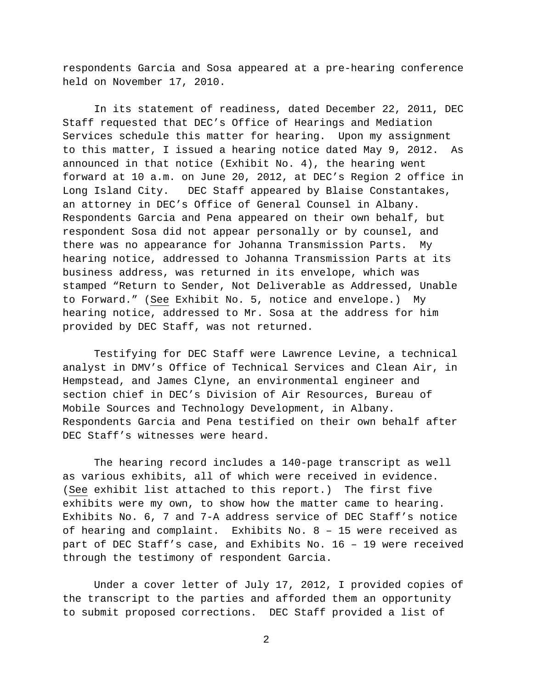respondents Garcia and Sosa appeared at a pre-hearing conference held on November 17, 2010.

In its statement of readiness, dated December 22, 2011, DEC Staff requested that DEC's Office of Hearings and Mediation Services schedule this matter for hearing. Upon my assignment to this matter, I issued a hearing notice dated May 9, 2012. As announced in that notice (Exhibit No. 4), the hearing went forward at 10 a.m. on June 20, 2012, at DEC's Region 2 office in Long Island City. DEC Staff appeared by Blaise Constantakes, an attorney in DEC's Office of General Counsel in Albany. Respondents Garcia and Pena appeared on their own behalf, but respondent Sosa did not appear personally or by counsel, and there was no appearance for Johanna Transmission Parts. My hearing notice, addressed to Johanna Transmission Parts at its business address, was returned in its envelope, which was stamped "Return to Sender, Not Deliverable as Addressed, Unable to Forward." (See Exhibit No. 5, notice and envelope.) My hearing notice, addressed to Mr. Sosa at the address for him provided by DEC Staff, was not returned.

Testifying for DEC Staff were Lawrence Levine, a technical analyst in DMV's Office of Technical Services and Clean Air, in Hempstead, and James Clyne, an environmental engineer and section chief in DEC's Division of Air Resources, Bureau of Mobile Sources and Technology Development, in Albany. Respondents Garcia and Pena testified on their own behalf after DEC Staff's witnesses were heard.

The hearing record includes a 140-page transcript as well as various exhibits, all of which were received in evidence. (See exhibit list attached to this report.) The first five exhibits were my own, to show how the matter came to hearing. Exhibits No. 6, 7 and 7-A address service of DEC Staff's notice of hearing and complaint. Exhibits No. 8 – 15 were received as part of DEC Staff's case, and Exhibits No. 16 – 19 were received through the testimony of respondent Garcia.

Under a cover letter of July 17, 2012, I provided copies of the transcript to the parties and afforded them an opportunity to submit proposed corrections. DEC Staff provided a list of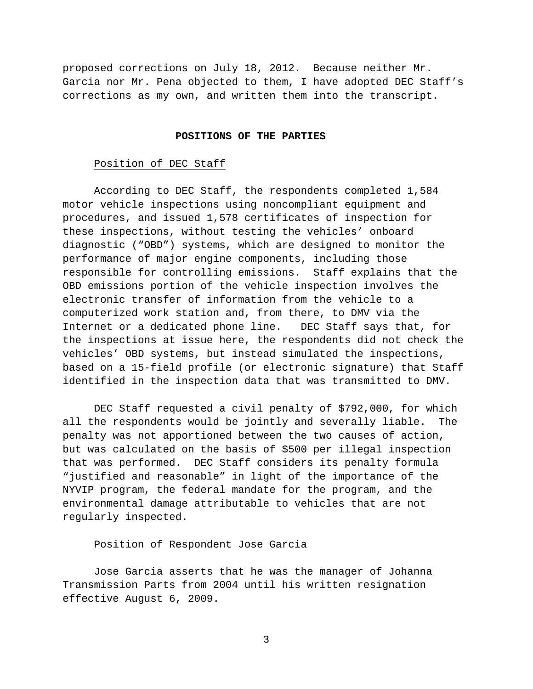proposed corrections on July 18, 2012. Because neither Mr. Garcia nor Mr. Pena objected to them, I have adopted DEC Staff's corrections as my own, and written them into the transcript.

#### **POSITIONS OF THE PARTIES**

### Position of DEC Staff

According to DEC Staff, the respondents completed 1,584 motor vehicle inspections using noncompliant equipment and procedures, and issued 1,578 certificates of inspection for these inspections, without testing the vehicles' onboard diagnostic ("OBD") systems, which are designed to monitor the performance of major engine components, including those responsible for controlling emissions. Staff explains that the OBD emissions portion of the vehicle inspection involves the electronic transfer of information from the vehicle to a computerized work station and, from there, to DMV via the Internet or a dedicated phone line. DEC Staff says that, for the inspections at issue here, the respondents did not check the vehicles' OBD systems, but instead simulated the inspections, based on a 15-field profile (or electronic signature) that Staff identified in the inspection data that was transmitted to DMV.

DEC Staff requested a civil penalty of \$792,000, for which all the respondents would be jointly and severally liable. The penalty was not apportioned between the two causes of action, but was calculated on the basis of \$500 per illegal inspection that was performed. DEC Staff considers its penalty formula "justified and reasonable" in light of the importance of the NYVIP program, the federal mandate for the program, and the environmental damage attributable to vehicles that are not regularly inspected.

#### Position of Respondent Jose Garcia

Jose Garcia asserts that he was the manager of Johanna Transmission Parts from 2004 until his written resignation effective August 6, 2009.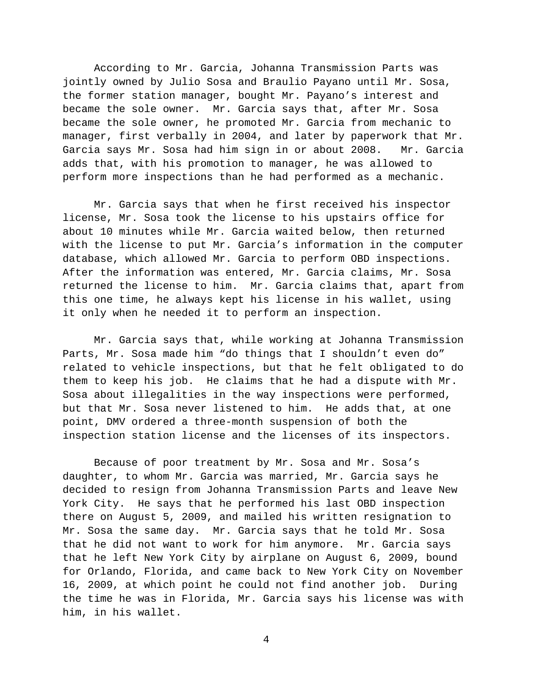According to Mr. Garcia, Johanna Transmission Parts was jointly owned by Julio Sosa and Braulio Payano until Mr. Sosa, the former station manager, bought Mr. Payano's interest and became the sole owner. Mr. Garcia says that, after Mr. Sosa became the sole owner, he promoted Mr. Garcia from mechanic to manager, first verbally in 2004, and later by paperwork that Mr. Garcia says Mr. Sosa had him sign in or about 2008. Mr. Garcia adds that, with his promotion to manager, he was allowed to perform more inspections than he had performed as a mechanic.

Mr. Garcia says that when he first received his inspector license, Mr. Sosa took the license to his upstairs office for about 10 minutes while Mr. Garcia waited below, then returned with the license to put Mr. Garcia's information in the computer database, which allowed Mr. Garcia to perform OBD inspections. After the information was entered, Mr. Garcia claims, Mr. Sosa returned the license to him. Mr. Garcia claims that, apart from this one time, he always kept his license in his wallet, using it only when he needed it to perform an inspection.

Mr. Garcia says that, while working at Johanna Transmission Parts, Mr. Sosa made him "do things that I shouldn't even do" related to vehicle inspections, but that he felt obligated to do them to keep his job. He claims that he had a dispute with Mr. Sosa about illegalities in the way inspections were performed, but that Mr. Sosa never listened to him. He adds that, at one point, DMV ordered a three-month suspension of both the inspection station license and the licenses of its inspectors.

Because of poor treatment by Mr. Sosa and Mr. Sosa's daughter, to whom Mr. Garcia was married, Mr. Garcia says he decided to resign from Johanna Transmission Parts and leave New York City. He says that he performed his last OBD inspection there on August 5, 2009, and mailed his written resignation to Mr. Sosa the same day. Mr. Garcia says that he told Mr. Sosa that he did not want to work for him anymore. Mr. Garcia says that he left New York City by airplane on August 6, 2009, bound for Orlando, Florida, and came back to New York City on November 16, 2009, at which point he could not find another job. During the time he was in Florida, Mr. Garcia says his license was with him, in his wallet.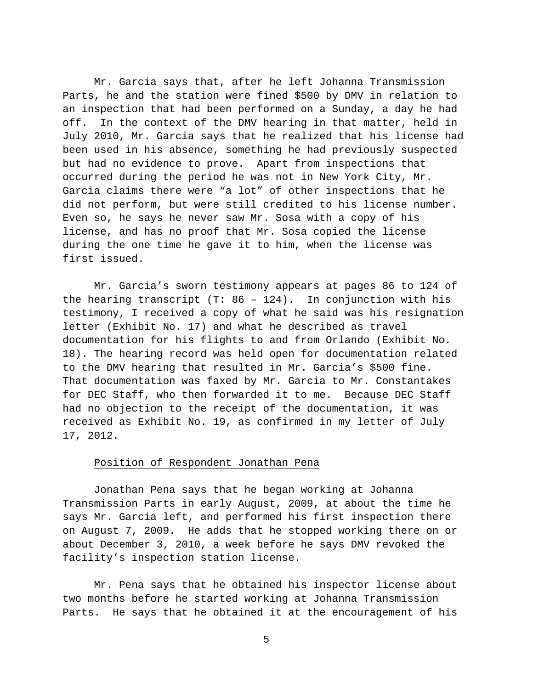Mr. Garcia says that, after he left Johanna Transmission Parts, he and the station were fined \$500 by DMV in relation to an inspection that had been performed on a Sunday, a day he had off. In the context of the DMV hearing in that matter, held in July 2010, Mr. Garcia says that he realized that his license had been used in his absence, something he had previously suspected but had no evidence to prove. Apart from inspections that occurred during the period he was not in New York City, Mr. Garcia claims there were "a lot" of other inspections that he did not perform, but were still credited to his license number. Even so, he says he never saw Mr. Sosa with a copy of his license, and has no proof that Mr. Sosa copied the license during the one time he gave it to him, when the license was first issued.

Mr. Garcia's sworn testimony appears at pages 86 to 124 of the hearing transcript (T: 86 – 124). In conjunction with his testimony, I received a copy of what he said was his resignation letter (Exhibit No. 17) and what he described as travel documentation for his flights to and from Orlando (Exhibit No. 18). The hearing record was held open for documentation related to the DMV hearing that resulted in Mr. Garcia's \$500 fine. That documentation was faxed by Mr. Garcia to Mr. Constantakes for DEC Staff, who then forwarded it to me. Because DEC Staff had no objection to the receipt of the documentation, it was received as Exhibit No. 19, as confirmed in my letter of July 17, 2012.

#### Position of Respondent Jonathan Pena

Jonathan Pena says that he began working at Johanna Transmission Parts in early August, 2009, at about the time he says Mr. Garcia left, and performed his first inspection there on August 7, 2009. He adds that he stopped working there on or about December 3, 2010, a week before he says DMV revoked the facility's inspection station license.

Mr. Pena says that he obtained his inspector license about two months before he started working at Johanna Transmission Parts. He says that he obtained it at the encouragement of his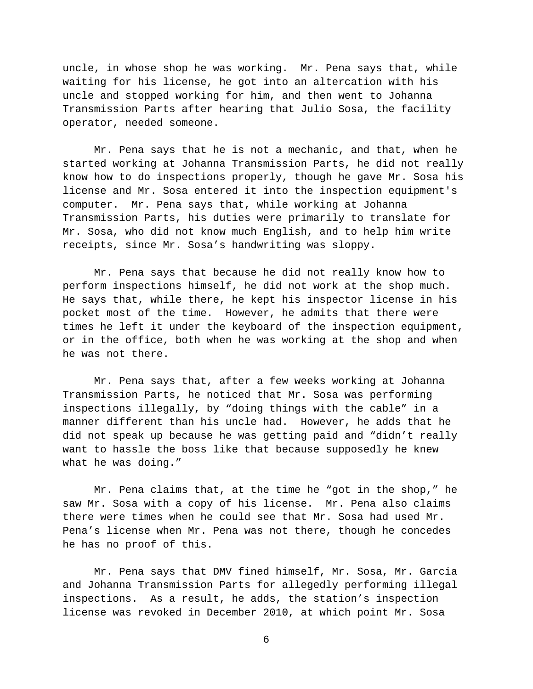uncle, in whose shop he was working. Mr. Pena says that, while waiting for his license, he got into an altercation with his uncle and stopped working for him, and then went to Johanna Transmission Parts after hearing that Julio Sosa, the facility operator, needed someone.

Mr. Pena says that he is not a mechanic, and that, when he started working at Johanna Transmission Parts, he did not really know how to do inspections properly, though he gave Mr. Sosa his license and Mr. Sosa entered it into the inspection equipment's computer. Mr. Pena says that, while working at Johanna Transmission Parts, his duties were primarily to translate for Mr. Sosa, who did not know much English, and to help him write receipts, since Mr. Sosa's handwriting was sloppy.

Mr. Pena says that because he did not really know how to perform inspections himself, he did not work at the shop much. He says that, while there, he kept his inspector license in his pocket most of the time. However, he admits that there were times he left it under the keyboard of the inspection equipment, or in the office, both when he was working at the shop and when he was not there.

Mr. Pena says that, after a few weeks working at Johanna Transmission Parts, he noticed that Mr. Sosa was performing inspections illegally, by "doing things with the cable" in a manner different than his uncle had. However, he adds that he did not speak up because he was getting paid and "didn't really want to hassle the boss like that because supposedly he knew what he was doing."

Mr. Pena claims that, at the time he "got in the shop," he saw Mr. Sosa with a copy of his license. Mr. Pena also claims there were times when he could see that Mr. Sosa had used Mr. Pena's license when Mr. Pena was not there, though he concedes he has no proof of this.

Mr. Pena says that DMV fined himself, Mr. Sosa, Mr. Garcia and Johanna Transmission Parts for allegedly performing illegal inspections. As a result, he adds, the station's inspection license was revoked in December 2010, at which point Mr. Sosa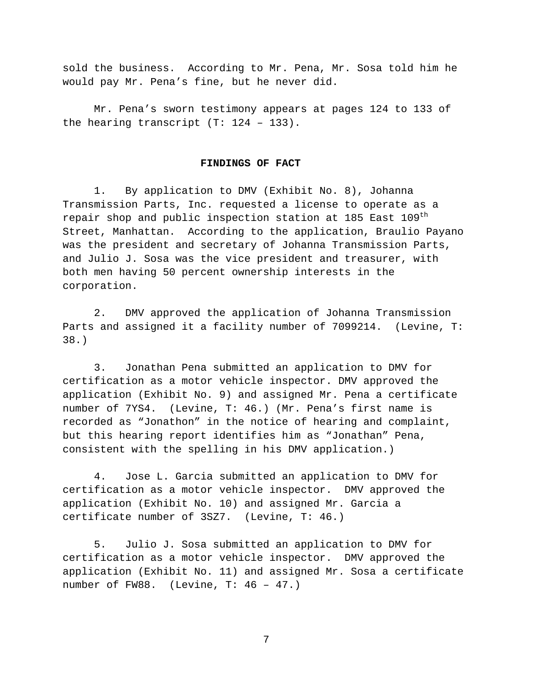sold the business. According to Mr. Pena, Mr. Sosa told him he would pay Mr. Pena's fine, but he never did.

Mr. Pena's sworn testimony appears at pages 124 to 133 of the hearing transcript (T: 124 – 133).

#### **FINDINGS OF FACT**

1. By application to DMV (Exhibit No. 8), Johanna Transmission Parts, Inc. requested a license to operate as a repair shop and public inspection station at 185 East 109<sup>th</sup> Street, Manhattan. According to the application, Braulio Payano was the president and secretary of Johanna Transmission Parts, and Julio J. Sosa was the vice president and treasurer, with both men having 50 percent ownership interests in the corporation.

2. DMV approved the application of Johanna Transmission Parts and assigned it a facility number of 7099214. (Levine, T: 38.)

3. Jonathan Pena submitted an application to DMV for certification as a motor vehicle inspector. DMV approved the application (Exhibit No. 9) and assigned Mr. Pena a certificate number of 7YS4. (Levine, T: 46.) (Mr. Pena's first name is recorded as "Jonathon" in the notice of hearing and complaint, but this hearing report identifies him as "Jonathan" Pena, consistent with the spelling in his DMV application.)

4. Jose L. Garcia submitted an application to DMV for certification as a motor vehicle inspector. DMV approved the application (Exhibit No. 10) and assigned Mr. Garcia a certificate number of 3SZ7. (Levine, T: 46.)

5. Julio J. Sosa submitted an application to DMV for certification as a motor vehicle inspector. DMV approved the application (Exhibit No. 11) and assigned Mr. Sosa a certificate number of FW88. (Levine, T: 46 – 47.)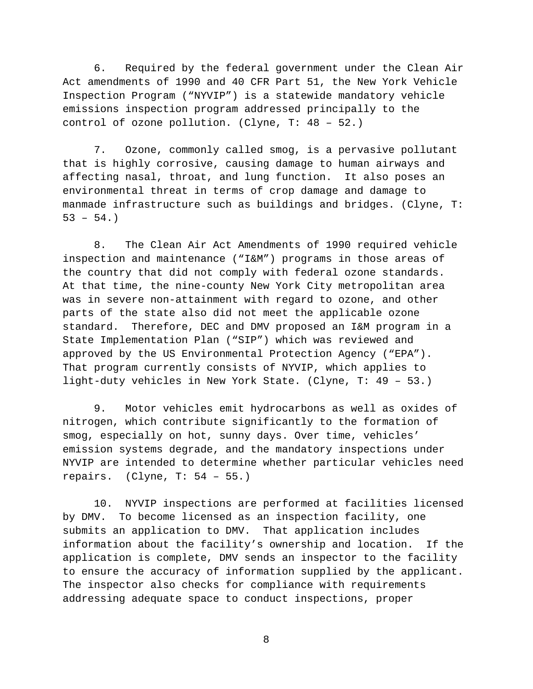6. Required by the federal government under the Clean Air Act amendments of 1990 and 40 CFR Part 51, the New York Vehicle Inspection Program ("NYVIP") is a statewide mandatory vehicle emissions inspection program addressed principally to the control of ozone pollution. (Clyne, T: 48 – 52.)

7. Ozone, commonly called smog, is a pervasive pollutant that is highly corrosive, causing damage to human airways and affecting nasal, throat, and lung function. It also poses an environmental threat in terms of crop damage and damage to manmade infrastructure such as buildings and bridges. (Clyne, T:  $53 - 54.$ 

8. The Clean Air Act Amendments of 1990 required vehicle inspection and maintenance ("I&M") programs in those areas of the country that did not comply with federal ozone standards. At that time, the nine-county New York City metropolitan area was in severe non-attainment with regard to ozone, and other parts of the state also did not meet the applicable ozone standard. Therefore, DEC and DMV proposed an I&M program in a State Implementation Plan ("SIP") which was reviewed and approved by the US Environmental Protection Agency ("EPA"). That program currently consists of NYVIP, which applies to light-duty vehicles in New York State. (Clyne, T: 49 – 53.)

9. Motor vehicles emit hydrocarbons as well as oxides of nitrogen, which contribute significantly to the formation of smog, especially on hot, sunny days. Over time, vehicles' emission systems degrade, and the mandatory inspections under NYVIP are intended to determine whether particular vehicles need repairs.  $(Clyne, T: 54 - 55.)$ 

10. NYVIP inspections are performed at facilities licensed by DMV. To become licensed as an inspection facility, one submits an application to DMV. That application includes information about the facility's ownership and location. If the application is complete, DMV sends an inspector to the facility to ensure the accuracy of information supplied by the applicant. The inspector also checks for compliance with requirements addressing adequate space to conduct inspections, proper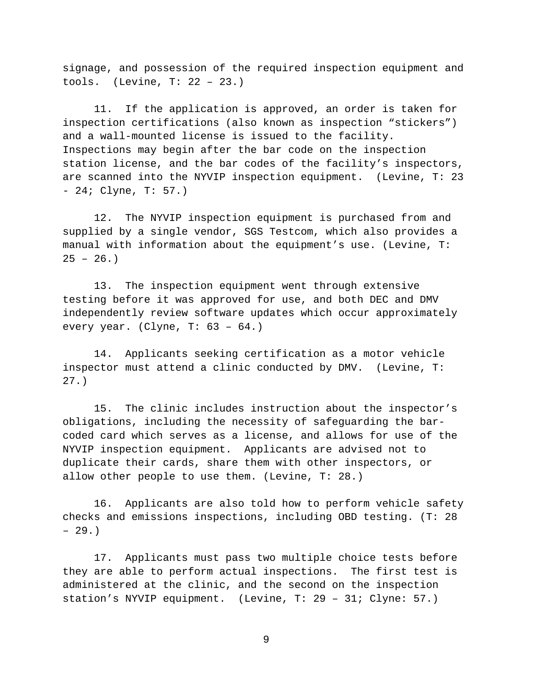signage, and possession of the required inspection equipment and tools. (Levine, T: 22 – 23.)

11. If the application is approved, an order is taken for inspection certifications (also known as inspection "stickers") and a wall-mounted license is issued to the facility. Inspections may begin after the bar code on the inspection station license, and the bar codes of the facility's inspectors, are scanned into the NYVIP inspection equipment. (Levine, T: 23 - 24; Clyne, T: 57.)

12. The NYVIP inspection equipment is purchased from and supplied by a single vendor, SGS Testcom, which also provides a manual with information about the equipment's use. (Levine, T:  $25 - 26.$ 

13. The inspection equipment went through extensive testing before it was approved for use, and both DEC and DMV independently review software updates which occur approximately every year. (Clyne, T: 63 – 64.)

14. Applicants seeking certification as a motor vehicle inspector must attend a clinic conducted by DMV. (Levine, T: 27.)

15. The clinic includes instruction about the inspector's obligations, including the necessity of safeguarding the barcoded card which serves as a license, and allows for use of the NYVIP inspection equipment. Applicants are advised not to duplicate their cards, share them with other inspectors, or allow other people to use them. (Levine, T: 28.)

16. Applicants are also told how to perform vehicle safety checks and emissions inspections, including OBD testing. (T: 28 – 29.)

17. Applicants must pass two multiple choice tests before they are able to perform actual inspections. The first test is administered at the clinic, and the second on the inspection station's NYVIP equipment. (Levine, T: 29 – 31; Clyne: 57.)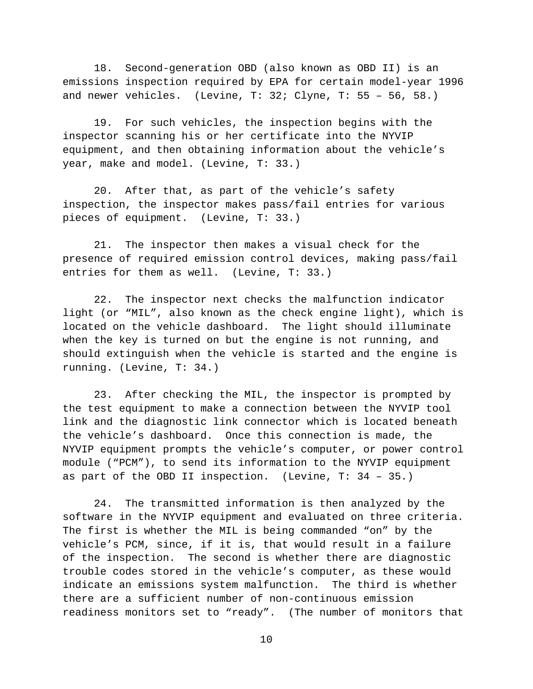18. Second-generation OBD (also known as OBD II) is an emissions inspection required by EPA for certain model-year 1996 and newer vehicles. (Levine, T: 32; Clyne, T: 55 – 56, 58.)

19. For such vehicles, the inspection begins with the inspector scanning his or her certificate into the NYVIP equipment, and then obtaining information about the vehicle's year, make and model. (Levine, T: 33.)

20. After that, as part of the vehicle's safety inspection, the inspector makes pass/fail entries for various pieces of equipment. (Levine, T: 33.)

21. The inspector then makes a visual check for the presence of required emission control devices, making pass/fail entries for them as well. (Levine, T: 33.)

22. The inspector next checks the malfunction indicator light (or "MIL", also known as the check engine light), which is located on the vehicle dashboard. The light should illuminate when the key is turned on but the engine is not running, and should extinguish when the vehicle is started and the engine is running. (Levine, T: 34.)

23. After checking the MIL, the inspector is prompted by the test equipment to make a connection between the NYVIP tool link and the diagnostic link connector which is located beneath the vehicle's dashboard. Once this connection is made, the NYVIP equipment prompts the vehicle's computer, or power control module ("PCM"), to send its information to the NYVIP equipment as part of the OBD II inspection. (Levine, T: 34 – 35.)

24. The transmitted information is then analyzed by the software in the NYVIP equipment and evaluated on three criteria. The first is whether the MIL is being commanded "on" by the vehicle's PCM, since, if it is, that would result in a failure of the inspection. The second is whether there are diagnostic trouble codes stored in the vehicle's computer, as these would indicate an emissions system malfunction. The third is whether there are a sufficient number of non-continuous emission readiness monitors set to "ready". (The number of monitors that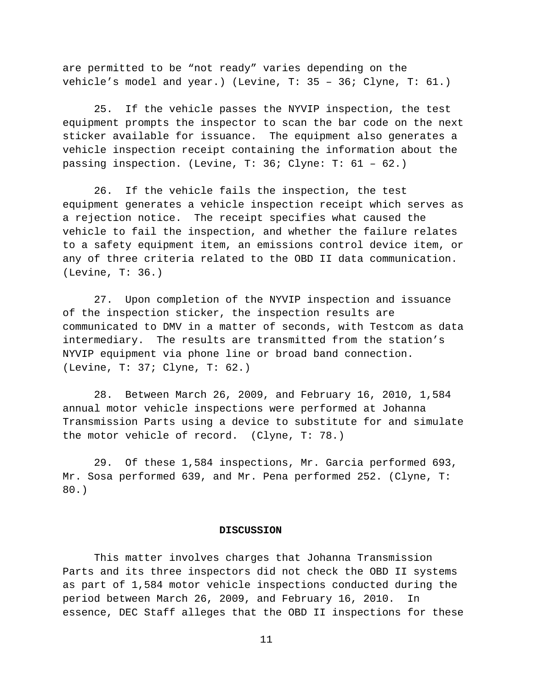are permitted to be "not ready" varies depending on the vehicle's model and year.) (Levine, T: 35 – 36; Clyne, T: 61.)

25. If the vehicle passes the NYVIP inspection, the test equipment prompts the inspector to scan the bar code on the next sticker available for issuance. The equipment also generates a vehicle inspection receipt containing the information about the passing inspection. (Levine, T: 36; Clyne: T: 61 – 62.)

26. If the vehicle fails the inspection, the test equipment generates a vehicle inspection receipt which serves as a rejection notice. The receipt specifies what caused the vehicle to fail the inspection, and whether the failure relates to a safety equipment item, an emissions control device item, or any of three criteria related to the OBD II data communication. (Levine, T: 36.)

27. Upon completion of the NYVIP inspection and issuance of the inspection sticker, the inspection results are communicated to DMV in a matter of seconds, with Testcom as data intermediary. The results are transmitted from the station's NYVIP equipment via phone line or broad band connection. (Levine, T: 37; Clyne, T: 62.)

28. Between March 26, 2009, and February 16, 2010, 1,584 annual motor vehicle inspections were performed at Johanna Transmission Parts using a device to substitute for and simulate the motor vehicle of record. (Clyne, T: 78.)

29. Of these 1,584 inspections, Mr. Garcia performed 693, Mr. Sosa performed 639, and Mr. Pena performed 252. (Clyne, T: 80.)

#### **DISCUSSION**

This matter involves charges that Johanna Transmission Parts and its three inspectors did not check the OBD II systems as part of 1,584 motor vehicle inspections conducted during the period between March 26, 2009, and February 16, 2010. In essence, DEC Staff alleges that the OBD II inspections for these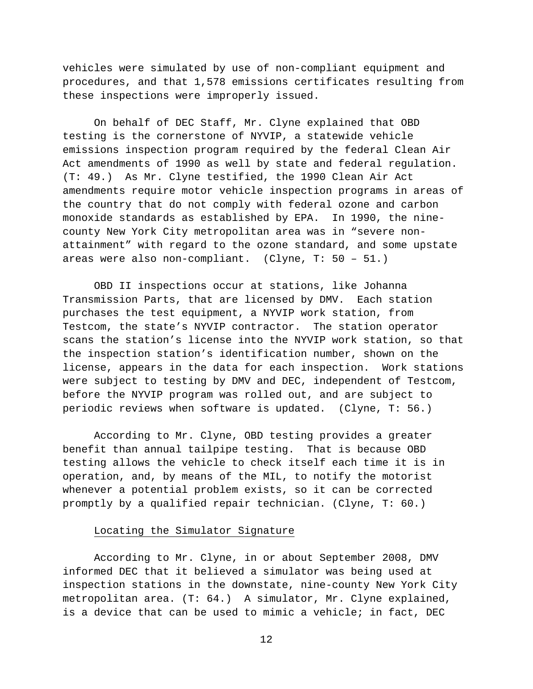vehicles were simulated by use of non-compliant equipment and procedures, and that 1,578 emissions certificates resulting from these inspections were improperly issued.

On behalf of DEC Staff, Mr. Clyne explained that OBD testing is the cornerstone of NYVIP, a statewide vehicle emissions inspection program required by the federal Clean Air Act amendments of 1990 as well by state and federal regulation. (T: 49.) As Mr. Clyne testified, the 1990 Clean Air Act amendments require motor vehicle inspection programs in areas of the country that do not comply with federal ozone and carbon monoxide standards as established by EPA. In 1990, the ninecounty New York City metropolitan area was in "severe nonattainment" with regard to the ozone standard, and some upstate areas were also non-compliant. (Clyne, T: 50 – 51.)

OBD II inspections occur at stations, like Johanna Transmission Parts, that are licensed by DMV. Each station purchases the test equipment, a NYVIP work station, from Testcom, the state's NYVIP contractor. The station operator scans the station's license into the NYVIP work station, so that the inspection station's identification number, shown on the license, appears in the data for each inspection. Work stations were subject to testing by DMV and DEC, independent of Testcom, before the NYVIP program was rolled out, and are subject to periodic reviews when software is updated. (Clyne, T: 56.)

According to Mr. Clyne, OBD testing provides a greater benefit than annual tailpipe testing. That is because OBD testing allows the vehicle to check itself each time it is in operation, and, by means of the MIL, to notify the motorist whenever a potential problem exists, so it can be corrected promptly by a qualified repair technician. (Clyne, T: 60.)

## Locating the Simulator Signature

According to Mr. Clyne, in or about September 2008, DMV informed DEC that it believed a simulator was being used at inspection stations in the downstate, nine-county New York City metropolitan area. (T: 64.) A simulator, Mr. Clyne explained, is a device that can be used to mimic a vehicle; in fact, DEC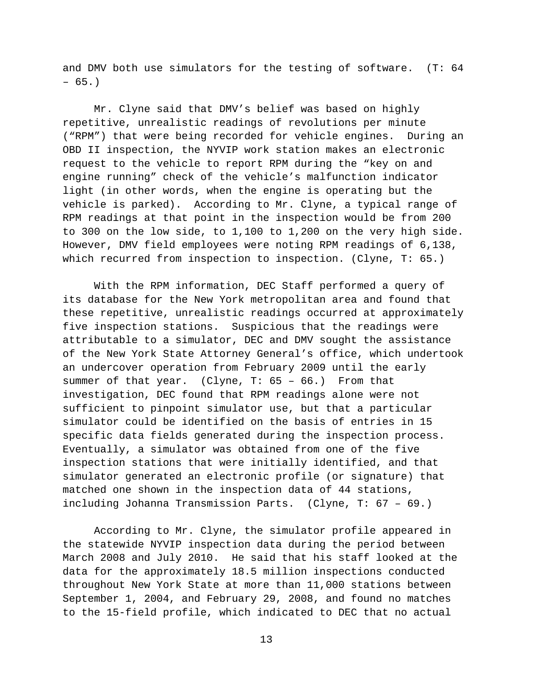and DMV both use simulators for the testing of software. (T: 64 – 65.)

Mr. Clyne said that DMV's belief was based on highly repetitive, unrealistic readings of revolutions per minute ("RPM") that were being recorded for vehicle engines. During an OBD II inspection, the NYVIP work station makes an electronic request to the vehicle to report RPM during the "key on and engine running" check of the vehicle's malfunction indicator light (in other words, when the engine is operating but the vehicle is parked). According to Mr. Clyne, a typical range of RPM readings at that point in the inspection would be from 200 to 300 on the low side, to 1,100 to 1,200 on the very high side. However, DMV field employees were noting RPM readings of 6,138, which recurred from inspection to inspection. (Clyne, T: 65.)

With the RPM information, DEC Staff performed a query of its database for the New York metropolitan area and found that these repetitive, unrealistic readings occurred at approximately five inspection stations. Suspicious that the readings were attributable to a simulator, DEC and DMV sought the assistance of the New York State Attorney General's office, which undertook an undercover operation from February 2009 until the early summer of that year. (Clyne, T: 65 – 66.) From that investigation, DEC found that RPM readings alone were not sufficient to pinpoint simulator use, but that a particular simulator could be identified on the basis of entries in 15 specific data fields generated during the inspection process. Eventually, a simulator was obtained from one of the five inspection stations that were initially identified, and that simulator generated an electronic profile (or signature) that matched one shown in the inspection data of 44 stations, including Johanna Transmission Parts. (Clyne, T: 67 – 69.)

According to Mr. Clyne, the simulator profile appeared in the statewide NYVIP inspection data during the period between March 2008 and July 2010. He said that his staff looked at the data for the approximately 18.5 million inspections conducted throughout New York State at more than 11,000 stations between September 1, 2004, and February 29, 2008, and found no matches to the 15-field profile, which indicated to DEC that no actual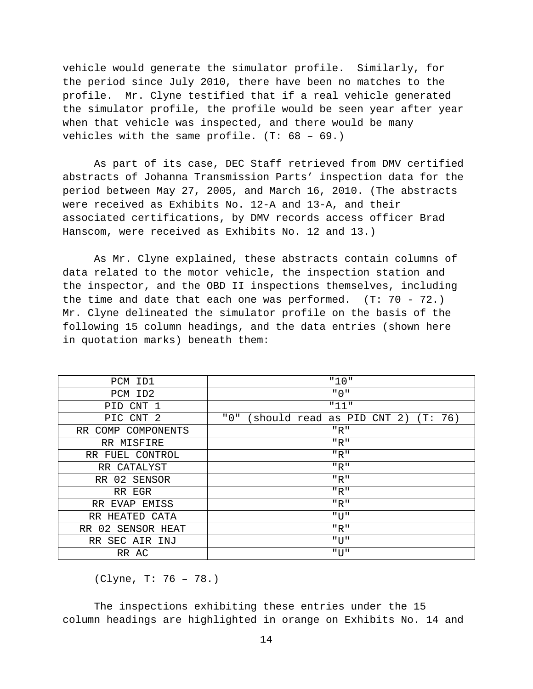vehicle would generate the simulator profile. Similarly, for the period since July 2010, there have been no matches to the profile. Mr. Clyne testified that if a real vehicle generated the simulator profile, the profile would be seen year after year when that vehicle was inspected, and there would be many vehicles with the same profile. (T: 68 – 69.)

As part of its case, DEC Staff retrieved from DMV certified abstracts of Johanna Transmission Parts' inspection data for the period between May 27, 2005, and March 16, 2010. (The abstracts were received as Exhibits No. 12-A and 13-A, and their associated certifications, by DMV records access officer Brad Hanscom, were received as Exhibits No. 12 and 13.)

As Mr. Clyne explained, these abstracts contain columns of data related to the motor vehicle, the inspection station and the inspector, and the OBD II inspections themselves, including the time and date that each one was performed.  $(T: 70 - 72.)$ Mr. Clyne delineated the simulator profile on the basis of the following 15 column headings, and the data entries (shown here in quotation marks) beneath them:

| PCM<br>ID1              | "10"                                       |
|-------------------------|--------------------------------------------|
| PCM ID2                 | " 0 "                                      |
| CNT 1<br>PID            | "11"                                       |
| PIC CNT 2               | " 0 "<br>should read as PID CNT 2) (T: 76) |
| RR COMP COMPONENTS      | "R"                                        |
| RR MISFIRE              | "R"                                        |
| RR FUEL CONTROL         | "R"                                        |
| RR CATALYST             | "R"                                        |
| RR 02 SENSOR            | $"R"$                                      |
| RR EGR                  | "R"                                        |
| EMISS<br>RR EVAP        | $"R"$                                      |
| HEATED CATA<br>RR.      | "U"                                        |
| SENSOR HEAT<br>02<br>RR | $"R"$                                      |
| SEC AIR INJ<br>RR.      | $"$ UT $"$                                 |
| RR AC                   | "U"                                        |

(Clyne, T: 76 – 78.)

The inspections exhibiting these entries under the 15 column headings are highlighted in orange on Exhibits No. 14 and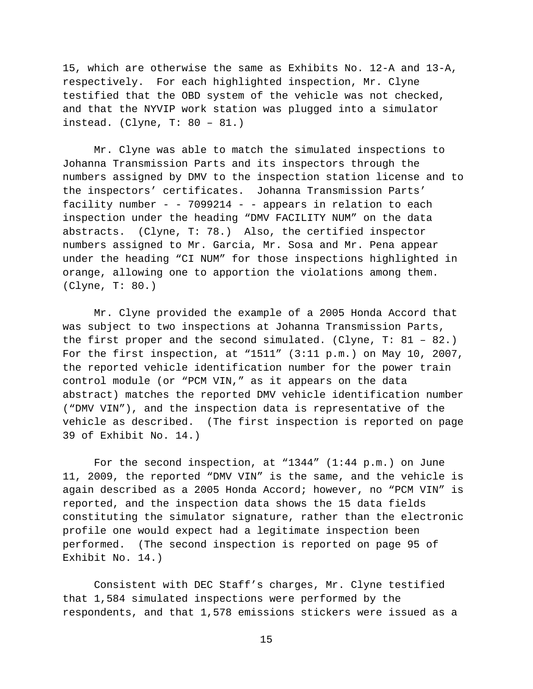15, which are otherwise the same as Exhibits No. 12-A and 13-A, respectively. For each highlighted inspection, Mr. Clyne testified that the OBD system of the vehicle was not checked, and that the NYVIP work station was plugged into a simulator instead. (Clyne, T: 80 – 81.)

Mr. Clyne was able to match the simulated inspections to Johanna Transmission Parts and its inspectors through the numbers assigned by DMV to the inspection station license and to the inspectors' certificates. Johanna Transmission Parts' facility number - - 7099214 - - appears in relation to each inspection under the heading "DMV FACILITY NUM" on the data abstracts. (Clyne, T: 78.) Also, the certified inspector numbers assigned to Mr. Garcia, Mr. Sosa and Mr. Pena appear under the heading "CI NUM" for those inspections highlighted in orange, allowing one to apportion the violations among them. (Clyne, T: 80.)

Mr. Clyne provided the example of a 2005 Honda Accord that was subject to two inspections at Johanna Transmission Parts, the first proper and the second simulated. (Clyne, T: 81 – 82.) For the first inspection, at "1511" (3:11 p.m.) on May 10, 2007, the reported vehicle identification number for the power train control module (or "PCM VIN," as it appears on the data abstract) matches the reported DMV vehicle identification number ("DMV VIN"), and the inspection data is representative of the vehicle as described. (The first inspection is reported on page 39 of Exhibit No. 14.)

For the second inspection, at "1344" (1:44 p.m.) on June 11, 2009, the reported "DMV VIN" is the same, and the vehicle is again described as a 2005 Honda Accord; however, no "PCM VIN" is reported, and the inspection data shows the 15 data fields constituting the simulator signature, rather than the electronic profile one would expect had a legitimate inspection been performed. (The second inspection is reported on page 95 of Exhibit No. 14.)

Consistent with DEC Staff's charges, Mr. Clyne testified that 1,584 simulated inspections were performed by the respondents, and that 1,578 emissions stickers were issued as a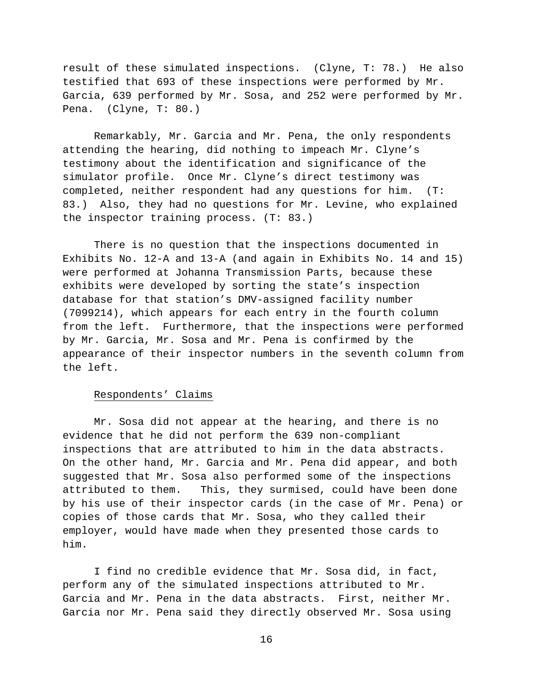result of these simulated inspections. (Clyne, T: 78.) He also testified that 693 of these inspections were performed by Mr. Garcia, 639 performed by Mr. Sosa, and 252 were performed by Mr. Pena. (Clyne, T: 80.)

Remarkably, Mr. Garcia and Mr. Pena, the only respondents attending the hearing, did nothing to impeach Mr. Clyne's testimony about the identification and significance of the simulator profile. Once Mr. Clyne's direct testimony was completed, neither respondent had any questions for him. (T: 83.) Also, they had no questions for Mr. Levine, who explained the inspector training process. (T: 83.)

There is no question that the inspections documented in Exhibits No. 12-A and 13-A (and again in Exhibits No. 14 and 15) were performed at Johanna Transmission Parts, because these exhibits were developed by sorting the state's inspection database for that station's DMV-assigned facility number (7099214), which appears for each entry in the fourth column from the left. Furthermore, that the inspections were performed by Mr. Garcia, Mr. Sosa and Mr. Pena is confirmed by the appearance of their inspector numbers in the seventh column from the left.

#### Respondents' Claims

Mr. Sosa did not appear at the hearing, and there is no evidence that he did not perform the 639 non-compliant inspections that are attributed to him in the data abstracts. On the other hand, Mr. Garcia and Mr. Pena did appear, and both suggested that Mr. Sosa also performed some of the inspections attributed to them. This, they surmised, could have been done by his use of their inspector cards (in the case of Mr. Pena) or copies of those cards that Mr. Sosa, who they called their employer, would have made when they presented those cards to him.

I find no credible evidence that Mr. Sosa did, in fact, perform any of the simulated inspections attributed to Mr. Garcia and Mr. Pena in the data abstracts. First, neither Mr. Garcia nor Mr. Pena said they directly observed Mr. Sosa using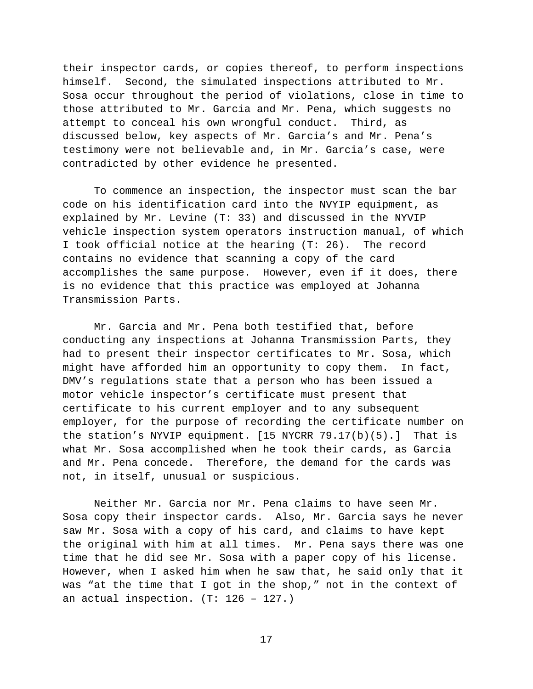their inspector cards, or copies thereof, to perform inspections himself. Second, the simulated inspections attributed to Mr. Sosa occur throughout the period of violations, close in time to those attributed to Mr. Garcia and Mr. Pena, which suggests no attempt to conceal his own wrongful conduct. Third, as discussed below, key aspects of Mr. Garcia's and Mr. Pena's testimony were not believable and, in Mr. Garcia's case, were contradicted by other evidence he presented.

To commence an inspection, the inspector must scan the bar code on his identification card into the NVYIP equipment, as explained by Mr. Levine (T: 33) and discussed in the NYVIP vehicle inspection system operators instruction manual, of which I took official notice at the hearing (T: 26). The record contains no evidence that scanning a copy of the card accomplishes the same purpose. However, even if it does, there is no evidence that this practice was employed at Johanna Transmission Parts.

Mr. Garcia and Mr. Pena both testified that, before conducting any inspections at Johanna Transmission Parts, they had to present their inspector certificates to Mr. Sosa, which might have afforded him an opportunity to copy them. In fact, DMV's regulations state that a person who has been issued a motor vehicle inspector's certificate must present that certificate to his current employer and to any subsequent employer, for the purpose of recording the certificate number on the station's NYVIP equipment. [15 NYCRR 79.17(b)(5).] That is what Mr. Sosa accomplished when he took their cards, as Garcia and Mr. Pena concede. Therefore, the demand for the cards was not, in itself, unusual or suspicious.

Neither Mr. Garcia nor Mr. Pena claims to have seen Mr. Sosa copy their inspector cards. Also, Mr. Garcia says he never saw Mr. Sosa with a copy of his card, and claims to have kept the original with him at all times. Mr. Pena says there was one time that he did see Mr. Sosa with a paper copy of his license. However, when I asked him when he saw that, he said only that it was "at the time that I got in the shop," not in the context of an actual inspection.  $(T: 126 - 127.)$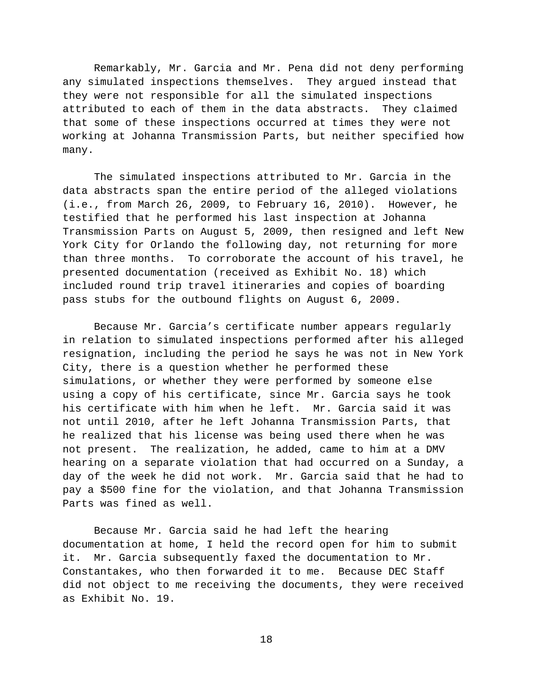Remarkably, Mr. Garcia and Mr. Pena did not deny performing any simulated inspections themselves. They argued instead that they were not responsible for all the simulated inspections attributed to each of them in the data abstracts. They claimed that some of these inspections occurred at times they were not working at Johanna Transmission Parts, but neither specified how many.

The simulated inspections attributed to Mr. Garcia in the data abstracts span the entire period of the alleged violations (i.e., from March 26, 2009, to February 16, 2010). However, he testified that he performed his last inspection at Johanna Transmission Parts on August 5, 2009, then resigned and left New York City for Orlando the following day, not returning for more than three months. To corroborate the account of his travel, he presented documentation (received as Exhibit No. 18) which included round trip travel itineraries and copies of boarding pass stubs for the outbound flights on August 6, 2009.

Because Mr. Garcia's certificate number appears regularly in relation to simulated inspections performed after his alleged resignation, including the period he says he was not in New York City, there is a question whether he performed these simulations, or whether they were performed by someone else using a copy of his certificate, since Mr. Garcia says he took his certificate with him when he left. Mr. Garcia said it was not until 2010, after he left Johanna Transmission Parts, that he realized that his license was being used there when he was not present. The realization, he added, came to him at a DMV hearing on a separate violation that had occurred on a Sunday, a day of the week he did not work. Mr. Garcia said that he had to pay a \$500 fine for the violation, and that Johanna Transmission Parts was fined as well.

Because Mr. Garcia said he had left the hearing documentation at home, I held the record open for him to submit it. Mr. Garcia subsequently faxed the documentation to Mr. Constantakes, who then forwarded it to me. Because DEC Staff did not object to me receiving the documents, they were received as Exhibit No. 19.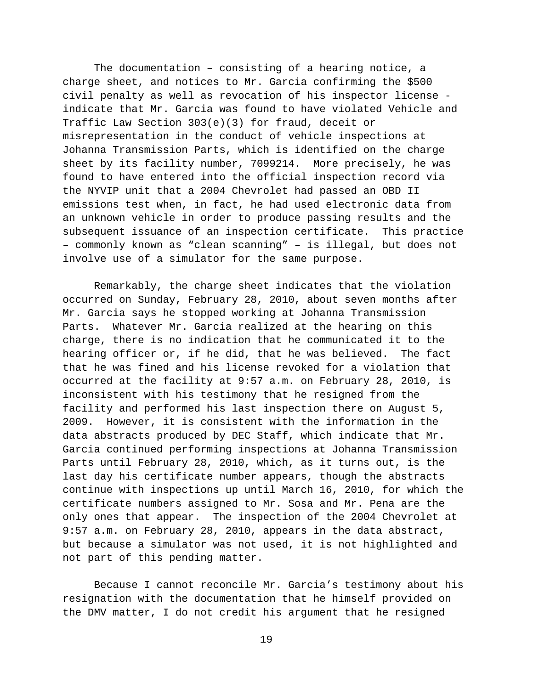The documentation – consisting of a hearing notice, a charge sheet, and notices to Mr. Garcia confirming the \$500 civil penalty as well as revocation of his inspector license indicate that Mr. Garcia was found to have violated Vehicle and Traffic Law Section 303(e)(3) for fraud, deceit or misrepresentation in the conduct of vehicle inspections at Johanna Transmission Parts, which is identified on the charge sheet by its facility number, 7099214. More precisely, he was found to have entered into the official inspection record via the NYVIP unit that a 2004 Chevrolet had passed an OBD II emissions test when, in fact, he had used electronic data from an unknown vehicle in order to produce passing results and the subsequent issuance of an inspection certificate. This practice – commonly known as "clean scanning" – is illegal, but does not involve use of a simulator for the same purpose.

Remarkably, the charge sheet indicates that the violation occurred on Sunday, February 28, 2010, about seven months after Mr. Garcia says he stopped working at Johanna Transmission Parts. Whatever Mr. Garcia realized at the hearing on this charge, there is no indication that he communicated it to the hearing officer or, if he did, that he was believed. The fact that he was fined and his license revoked for a violation that occurred at the facility at 9:57 a.m. on February 28, 2010, is inconsistent with his testimony that he resigned from the facility and performed his last inspection there on August 5, 2009. However, it is consistent with the information in the data abstracts produced by DEC Staff, which indicate that Mr. Garcia continued performing inspections at Johanna Transmission Parts until February 28, 2010, which, as it turns out, is the last day his certificate number appears, though the abstracts continue with inspections up until March 16, 2010, for which the certificate numbers assigned to Mr. Sosa and Mr. Pena are the only ones that appear. The inspection of the 2004 Chevrolet at 9:57 a.m. on February 28, 2010, appears in the data abstract, but because a simulator was not used, it is not highlighted and not part of this pending matter.

Because I cannot reconcile Mr. Garcia's testimony about his resignation with the documentation that he himself provided on the DMV matter, I do not credit his argument that he resigned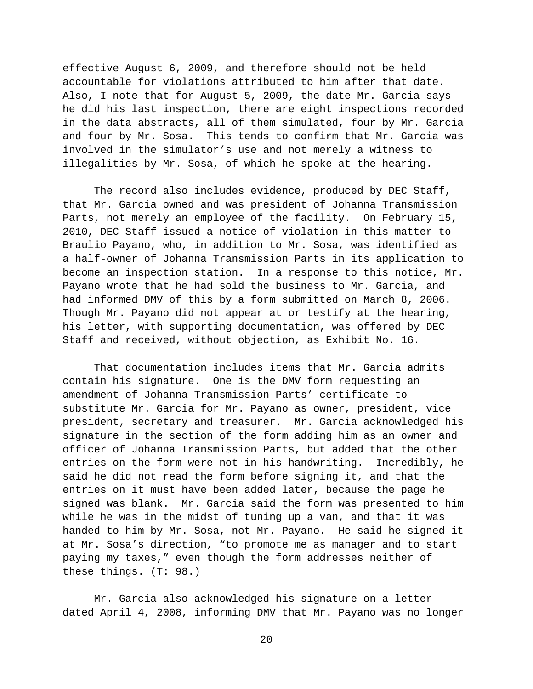effective August 6, 2009, and therefore should not be held accountable for violations attributed to him after that date. Also, I note that for August 5, 2009, the date Mr. Garcia says he did his last inspection, there are eight inspections recorded in the data abstracts, all of them simulated, four by Mr. Garcia and four by Mr. Sosa. This tends to confirm that Mr. Garcia was involved in the simulator's use and not merely a witness to illegalities by Mr. Sosa, of which he spoke at the hearing.

The record also includes evidence, produced by DEC Staff, that Mr. Garcia owned and was president of Johanna Transmission Parts, not merely an employee of the facility. On February 15, 2010, DEC Staff issued a notice of violation in this matter to Braulio Payano, who, in addition to Mr. Sosa, was identified as a half-owner of Johanna Transmission Parts in its application to become an inspection station. In a response to this notice, Mr. Payano wrote that he had sold the business to Mr. Garcia, and had informed DMV of this by a form submitted on March 8, 2006. Though Mr. Payano did not appear at or testify at the hearing, his letter, with supporting documentation, was offered by DEC Staff and received, without objection, as Exhibit No. 16.

That documentation includes items that Mr. Garcia admits contain his signature. One is the DMV form requesting an amendment of Johanna Transmission Parts' certificate to substitute Mr. Garcia for Mr. Payano as owner, president, vice president, secretary and treasurer. Mr. Garcia acknowledged his signature in the section of the form adding him as an owner and officer of Johanna Transmission Parts, but added that the other entries on the form were not in his handwriting. Incredibly, he said he did not read the form before signing it, and that the entries on it must have been added later, because the page he signed was blank. Mr. Garcia said the form was presented to him while he was in the midst of tuning up a van, and that it was handed to him by Mr. Sosa, not Mr. Payano. He said he signed it at Mr. Sosa's direction, "to promote me as manager and to start paying my taxes," even though the form addresses neither of these things. (T: 98.)

Mr. Garcia also acknowledged his signature on a letter dated April 4, 2008, informing DMV that Mr. Payano was no longer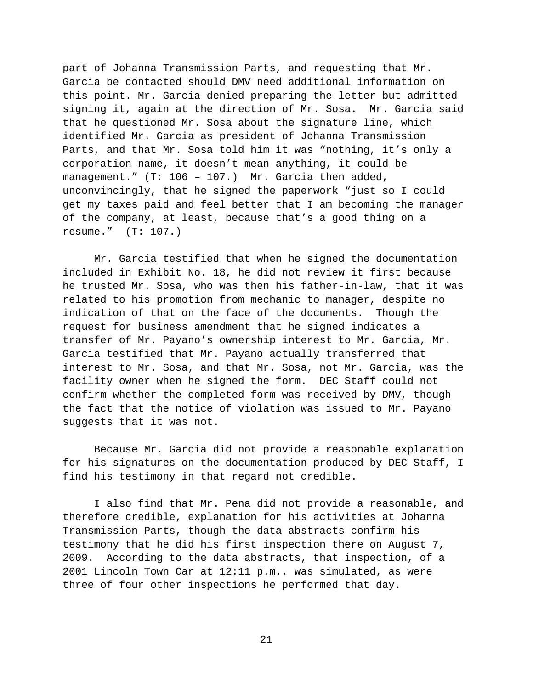part of Johanna Transmission Parts, and requesting that Mr. Garcia be contacted should DMV need additional information on this point. Mr. Garcia denied preparing the letter but admitted signing it, again at the direction of Mr. Sosa. Mr. Garcia said that he questioned Mr. Sosa about the signature line, which identified Mr. Garcia as president of Johanna Transmission Parts, and that Mr. Sosa told him it was "nothing, it's only a corporation name, it doesn't mean anything, it could be management." (T: 106 – 107.) Mr. Garcia then added, unconvincingly, that he signed the paperwork "just so I could get my taxes paid and feel better that I am becoming the manager of the company, at least, because that's a good thing on a resume." (T: 107.)

Mr. Garcia testified that when he signed the documentation included in Exhibit No. 18, he did not review it first because he trusted Mr. Sosa, who was then his father-in-law, that it was related to his promotion from mechanic to manager, despite no indication of that on the face of the documents. Though the request for business amendment that he signed indicates a transfer of Mr. Payano's ownership interest to Mr. Garcia, Mr. Garcia testified that Mr. Payano actually transferred that interest to Mr. Sosa, and that Mr. Sosa, not Mr. Garcia, was the facility owner when he signed the form. DEC Staff could not confirm whether the completed form was received by DMV, though the fact that the notice of violation was issued to Mr. Payano suggests that it was not.

Because Mr. Garcia did not provide a reasonable explanation for his signatures on the documentation produced by DEC Staff, I find his testimony in that regard not credible.

I also find that Mr. Pena did not provide a reasonable, and therefore credible, explanation for his activities at Johanna Transmission Parts, though the data abstracts confirm his testimony that he did his first inspection there on August 7, 2009. According to the data abstracts, that inspection, of a 2001 Lincoln Town Car at 12:11 p.m., was simulated, as were three of four other inspections he performed that day.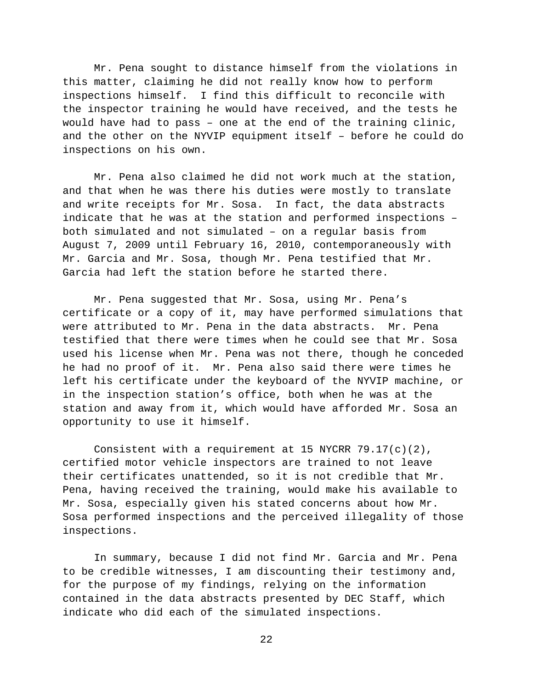Mr. Pena sought to distance himself from the violations in this matter, claiming he did not really know how to perform inspections himself. I find this difficult to reconcile with the inspector training he would have received, and the tests he would have had to pass – one at the end of the training clinic, and the other on the NYVIP equipment itself – before he could do inspections on his own.

Mr. Pena also claimed he did not work much at the station, and that when he was there his duties were mostly to translate and write receipts for Mr. Sosa. In fact, the data abstracts indicate that he was at the station and performed inspections – both simulated and not simulated – on a regular basis from August 7, 2009 until February 16, 2010, contemporaneously with Mr. Garcia and Mr. Sosa, though Mr. Pena testified that Mr. Garcia had left the station before he started there.

Mr. Pena suggested that Mr. Sosa, using Mr. Pena's certificate or a copy of it, may have performed simulations that were attributed to Mr. Pena in the data abstracts. Mr. Pena testified that there were times when he could see that Mr. Sosa used his license when Mr. Pena was not there, though he conceded he had no proof of it. Mr. Pena also said there were times he left his certificate under the keyboard of the NYVIP machine, or in the inspection station's office, both when he was at the station and away from it, which would have afforded Mr. Sosa an opportunity to use it himself.

Consistent with a requirement at 15 NYCRR  $79.17(c)(2)$ , certified motor vehicle inspectors are trained to not leave their certificates unattended, so it is not credible that Mr. Pena, having received the training, would make his available to Mr. Sosa, especially given his stated concerns about how Mr. Sosa performed inspections and the perceived illegality of those inspections.

In summary, because I did not find Mr. Garcia and Mr. Pena to be credible witnesses, I am discounting their testimony and, for the purpose of my findings, relying on the information contained in the data abstracts presented by DEC Staff, which indicate who did each of the simulated inspections.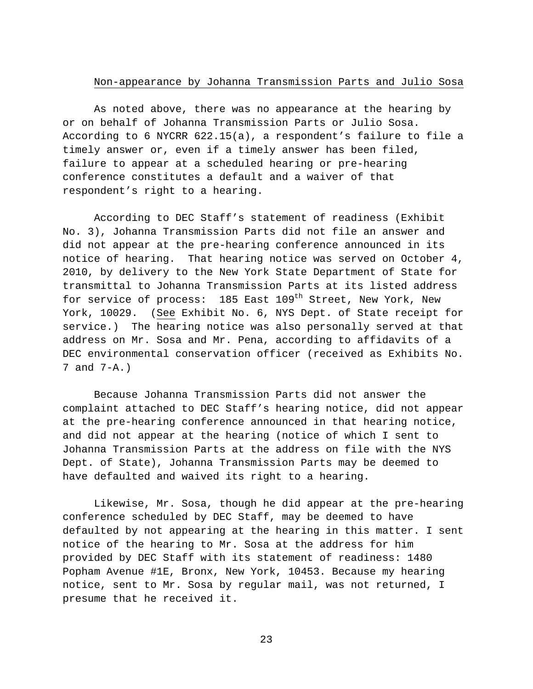### Non-appearance by Johanna Transmission Parts and Julio Sosa

As noted above, there was no appearance at the hearing by or on behalf of Johanna Transmission Parts or Julio Sosa. According to 6 NYCRR 622.15(a), a respondent's failure to file a timely answer or, even if a timely answer has been filed, failure to appear at a scheduled hearing or pre-hearing conference constitutes a default and a waiver of that respondent's right to a hearing.

According to DEC Staff's statement of readiness (Exhibit No. 3), Johanna Transmission Parts did not file an answer and did not appear at the pre-hearing conference announced in its notice of hearing. That hearing notice was served on October 4, 2010, by delivery to the New York State Department of State for transmittal to Johanna Transmission Parts at its listed address for service of process: 185 East 109<sup>th</sup> Street, New York, New York, 10029. (See Exhibit No. 6, NYS Dept. of State receipt for service.) The hearing notice was also personally served at that address on Mr. Sosa and Mr. Pena, according to affidavits of a DEC environmental conservation officer (received as Exhibits No. 7 and 7-A.)

Because Johanna Transmission Parts did not answer the complaint attached to DEC Staff's hearing notice, did not appear at the pre-hearing conference announced in that hearing notice, and did not appear at the hearing (notice of which I sent to Johanna Transmission Parts at the address on file with the NYS Dept. of State), Johanna Transmission Parts may be deemed to have defaulted and waived its right to a hearing.

Likewise, Mr. Sosa, though he did appear at the pre-hearing conference scheduled by DEC Staff, may be deemed to have defaulted by not appearing at the hearing in this matter. I sent notice of the hearing to Mr. Sosa at the address for him provided by DEC Staff with its statement of readiness: 1480 Popham Avenue #1E, Bronx, New York, 10453. Because my hearing notice, sent to Mr. Sosa by regular mail, was not returned, I presume that he received it.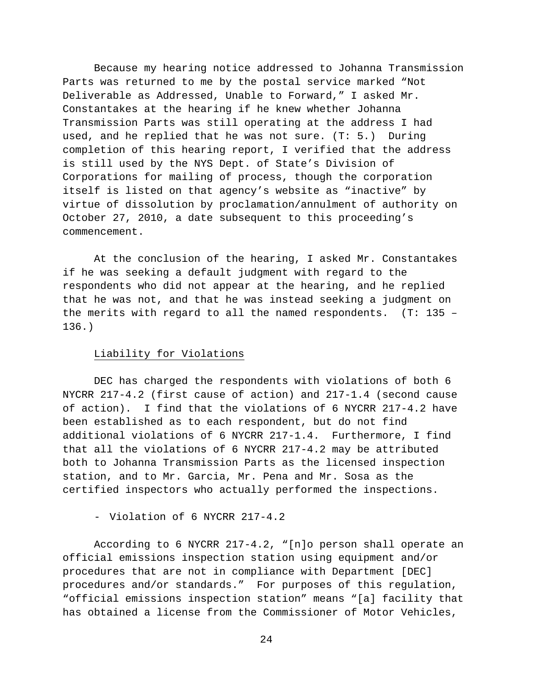Because my hearing notice addressed to Johanna Transmission Parts was returned to me by the postal service marked "Not Deliverable as Addressed, Unable to Forward," I asked Mr. Constantakes at the hearing if he knew whether Johanna Transmission Parts was still operating at the address I had used, and he replied that he was not sure. (T: 5.) During completion of this hearing report, I verified that the address is still used by the NYS Dept. of State's Division of Corporations for mailing of process, though the corporation itself is listed on that agency's website as "inactive" by virtue of dissolution by proclamation/annulment of authority on October 27, 2010, a date subsequent to this proceeding's commencement.

At the conclusion of the hearing, I asked Mr. Constantakes if he was seeking a default judgment with regard to the respondents who did not appear at the hearing, and he replied that he was not, and that he was instead seeking a judgment on the merits with regard to all the named respondents. (T: 135 – 136.)

## Liability for Violations

DEC has charged the respondents with violations of both 6 NYCRR 217-4.2 (first cause of action) and 217-1.4 (second cause of action). I find that the violations of 6 NYCRR 217-4.2 have been established as to each respondent, but do not find additional violations of 6 NYCRR 217-1.4. Furthermore, I find that all the violations of 6 NYCRR 217-4.2 may be attributed both to Johanna Transmission Parts as the licensed inspection station, and to Mr. Garcia, Mr. Pena and Mr. Sosa as the certified inspectors who actually performed the inspections.

- Violation of 6 NYCRR 217-4.2

According to 6 NYCRR 217-4.2, "[n]o person shall operate an official emissions inspection station using equipment and/or procedures that are not in compliance with Department [DEC] procedures and/or standards." For purposes of this regulation, "official emissions inspection station" means "[a] facility that has obtained a license from the Commissioner of Motor Vehicles,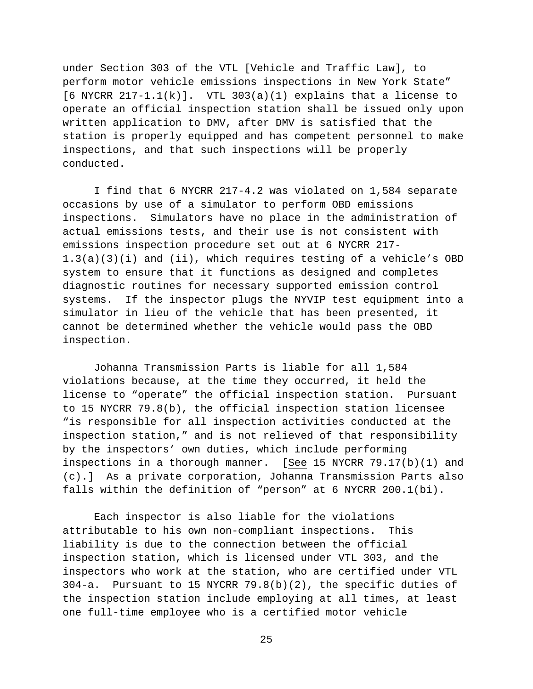under Section 303 of the VTL [Vehicle and Traffic Law], to perform motor vehicle emissions inspections in New York State"  $[6$  NYCRR 217-1.1(k)]. VTL 303(a)(1) explains that a license to operate an official inspection station shall be issued only upon written application to DMV, after DMV is satisfied that the station is properly equipped and has competent personnel to make inspections, and that such inspections will be properly conducted.

I find that 6 NYCRR 217-4.2 was violated on 1,584 separate occasions by use of a simulator to perform OBD emissions inspections. Simulators have no place in the administration of actual emissions tests, and their use is not consistent with emissions inspection procedure set out at 6 NYCRR 217- 1.3(a)(3)(i) and (ii), which requires testing of a vehicle's OBD system to ensure that it functions as designed and completes diagnostic routines for necessary supported emission control systems. If the inspector plugs the NYVIP test equipment into a simulator in lieu of the vehicle that has been presented, it cannot be determined whether the vehicle would pass the OBD inspection.

Johanna Transmission Parts is liable for all 1,584 violations because, at the time they occurred, it held the license to "operate" the official inspection station. Pursuant to 15 NYCRR 79.8(b), the official inspection station licensee "is responsible for all inspection activities conducted at the inspection station," and is not relieved of that responsibility by the inspectors' own duties, which include performing inspections in a thorough manner. [See 15 NYCRR 79.17(b)(1) and (c).] As a private corporation, Johanna Transmission Parts also falls within the definition of "person" at 6 NYCRR 200.1(bi).

Each inspector is also liable for the violations attributable to his own non-compliant inspections. This liability is due to the connection between the official inspection station, which is licensed under VTL 303, and the inspectors who work at the station, who are certified under VTL 304-a. Pursuant to 15 NYCRR 79.8(b)(2), the specific duties of the inspection station include employing at all times, at least one full-time employee who is a certified motor vehicle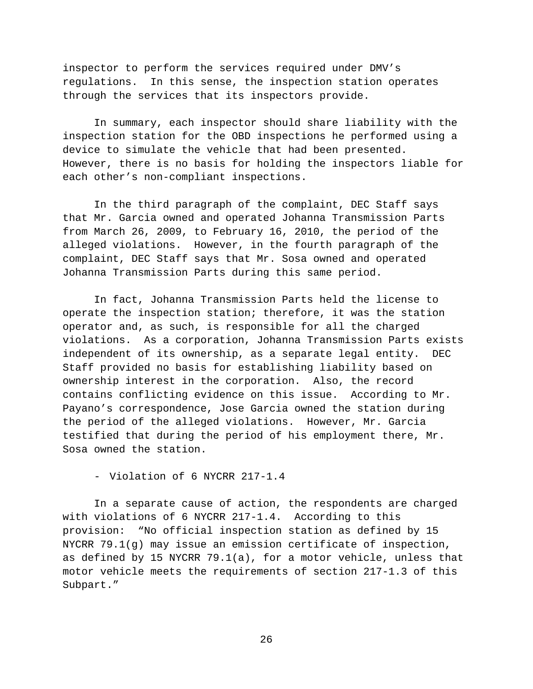inspector to perform the services required under DMV's regulations. In this sense, the inspection station operates through the services that its inspectors provide.

In summary, each inspector should share liability with the inspection station for the OBD inspections he performed using a device to simulate the vehicle that had been presented. However, there is no basis for holding the inspectors liable for each other's non-compliant inspections.

In the third paragraph of the complaint, DEC Staff says that Mr. Garcia owned and operated Johanna Transmission Parts from March 26, 2009, to February 16, 2010, the period of the alleged violations. However, in the fourth paragraph of the complaint, DEC Staff says that Mr. Sosa owned and operated Johanna Transmission Parts during this same period.

In fact, Johanna Transmission Parts held the license to operate the inspection station; therefore, it was the station operator and, as such, is responsible for all the charged violations. As a corporation, Johanna Transmission Parts exists independent of its ownership, as a separate legal entity. DEC Staff provided no basis for establishing liability based on ownership interest in the corporation. Also, the record contains conflicting evidence on this issue. According to Mr. Payano's correspondence, Jose Garcia owned the station during the period of the alleged violations. However, Mr. Garcia testified that during the period of his employment there, Mr. Sosa owned the station.

- Violation of 6 NYCRR 217-1.4

In a separate cause of action, the respondents are charged with violations of 6 NYCRR 217-1.4. According to this provision: "No official inspection station as defined by 15 NYCRR 79.1(g) may issue an emission certificate of inspection, as defined by 15 NYCRR 79.1(a), for a motor vehicle, unless that motor vehicle meets the requirements of section 217-1.3 of this Subpart."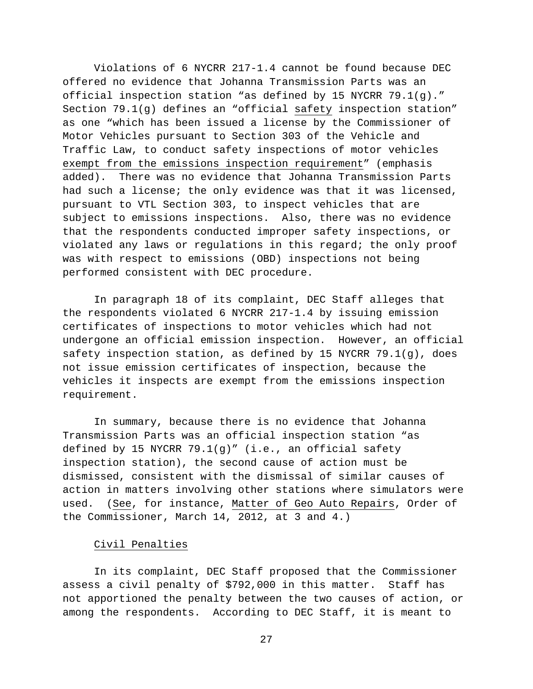Violations of 6 NYCRR 217-1.4 cannot be found because DEC offered no evidence that Johanna Transmission Parts was an official inspection station "as defined by 15 NYCRR 79.1(g)." Section 79.1(g) defines an "official safety inspection station" as one "which has been issued a license by the Commissioner of Motor Vehicles pursuant to Section 303 of the Vehicle and Traffic Law, to conduct safety inspections of motor vehicles exempt from the emissions inspection requirement" (emphasis added). There was no evidence that Johanna Transmission Parts had such a license; the only evidence was that it was licensed, pursuant to VTL Section 303, to inspect vehicles that are subject to emissions inspections. Also, there was no evidence that the respondents conducted improper safety inspections, or violated any laws or regulations in this regard; the only proof was with respect to emissions (OBD) inspections not being performed consistent with DEC procedure.

In paragraph 18 of its complaint, DEC Staff alleges that the respondents violated 6 NYCRR 217-1.4 by issuing emission certificates of inspections to motor vehicles which had not undergone an official emission inspection. However, an official safety inspection station, as defined by 15 NYCRR 79.1(g), does not issue emission certificates of inspection, because the vehicles it inspects are exempt from the emissions inspection requirement.

In summary, because there is no evidence that Johanna Transmission Parts was an official inspection station "as defined by 15 NYCRR 79.1(g)" (i.e., an official safety inspection station), the second cause of action must be dismissed, consistent with the dismissal of similar causes of action in matters involving other stations where simulators were used. (See, for instance, Matter of Geo Auto Repairs, Order of the Commissioner, March 14, 2012, at 3 and 4.)

### Civil Penalties

In its complaint, DEC Staff proposed that the Commissioner assess a civil penalty of \$792,000 in this matter. Staff has not apportioned the penalty between the two causes of action, or among the respondents. According to DEC Staff, it is meant to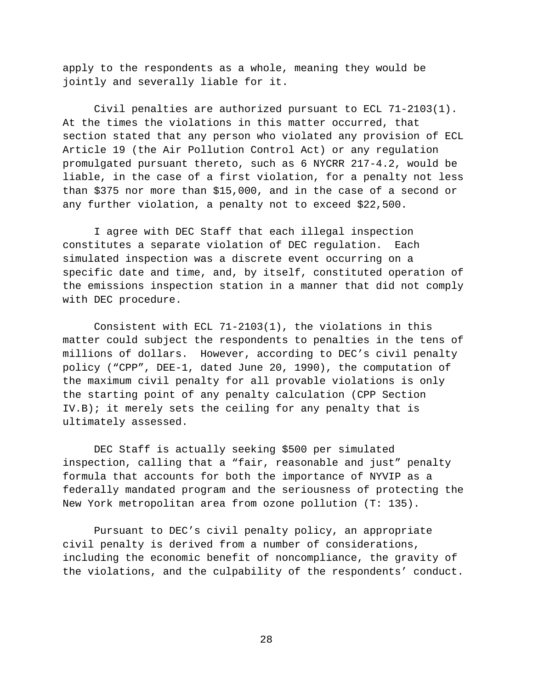apply to the respondents as a whole, meaning they would be jointly and severally liable for it.

Civil penalties are authorized pursuant to ECL 71-2103(1). At the times the violations in this matter occurred, that section stated that any person who violated any provision of ECL Article 19 (the Air Pollution Control Act) or any regulation promulgated pursuant thereto, such as 6 NYCRR 217-4.2, would be liable, in the case of a first violation, for a penalty not less than \$375 nor more than \$15,000, and in the case of a second or any further violation, a penalty not to exceed \$22,500.

I agree with DEC Staff that each illegal inspection constitutes a separate violation of DEC regulation. Each simulated inspection was a discrete event occurring on a specific date and time, and, by itself, constituted operation of the emissions inspection station in a manner that did not comply with DEC procedure.

Consistent with ECL 71-2103(1), the violations in this matter could subject the respondents to penalties in the tens of millions of dollars. However, according to DEC's civil penalty policy ("CPP", DEE-1, dated June 20, 1990), the computation of the maximum civil penalty for all provable violations is only the starting point of any penalty calculation (CPP Section IV.B); it merely sets the ceiling for any penalty that is ultimately assessed.

DEC Staff is actually seeking \$500 per simulated inspection, calling that a "fair, reasonable and just" penalty formula that accounts for both the importance of NYVIP as a federally mandated program and the seriousness of protecting the New York metropolitan area from ozone pollution (T: 135).

Pursuant to DEC's civil penalty policy, an appropriate civil penalty is derived from a number of considerations, including the economic benefit of noncompliance, the gravity of the violations, and the culpability of the respondents' conduct.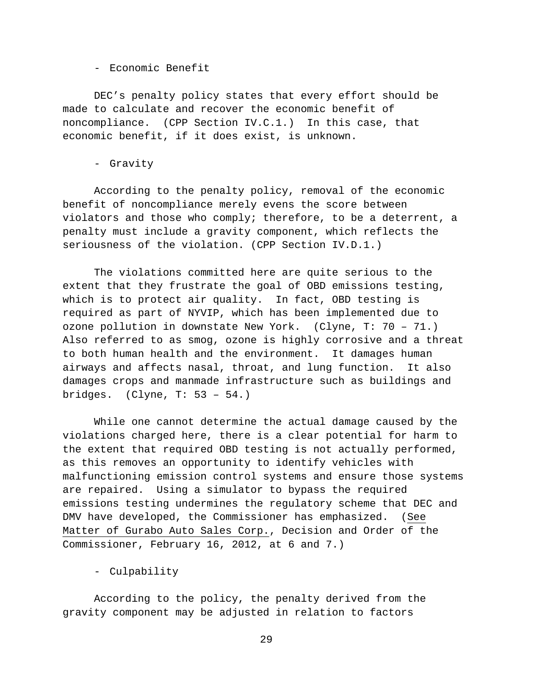- Economic Benefit

DEC's penalty policy states that every effort should be made to calculate and recover the economic benefit of noncompliance. (CPP Section IV.C.1.) In this case, that economic benefit, if it does exist, is unknown.

- Gravity

According to the penalty policy, removal of the economic benefit of noncompliance merely evens the score between violators and those who comply; therefore, to be a deterrent, a penalty must include a gravity component, which reflects the seriousness of the violation. (CPP Section IV.D.1.)

The violations committed here are quite serious to the extent that they frustrate the goal of OBD emissions testing, which is to protect air quality. In fact, OBD testing is required as part of NYVIP, which has been implemented due to ozone pollution in downstate New York. (Clyne, T: 70 – 71.) Also referred to as smog, ozone is highly corrosive and a threat to both human health and the environment. It damages human airways and affects nasal, throat, and lung function. It also damages crops and manmade infrastructure such as buildings and bridges. (Clyne, T: 53 – 54.)

While one cannot determine the actual damage caused by the violations charged here, there is a clear potential for harm to the extent that required OBD testing is not actually performed, as this removes an opportunity to identify vehicles with malfunctioning emission control systems and ensure those systems are repaired. Using a simulator to bypass the required emissions testing undermines the regulatory scheme that DEC and DMV have developed, the Commissioner has emphasized. (See Matter of Gurabo Auto Sales Corp., Decision and Order of the Commissioner, February 16, 2012, at 6 and 7.)

- Culpability

According to the policy, the penalty derived from the gravity component may be adjusted in relation to factors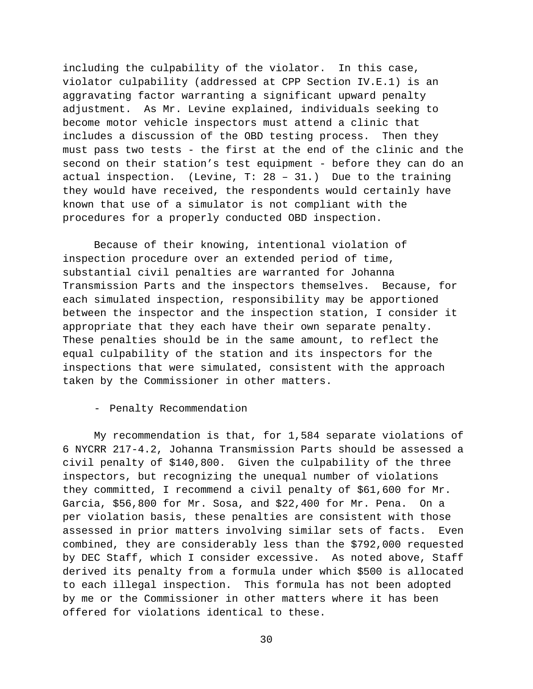including the culpability of the violator. In this case, violator culpability (addressed at CPP Section IV.E.1) is an aggravating factor warranting a significant upward penalty adjustment. As Mr. Levine explained, individuals seeking to become motor vehicle inspectors must attend a clinic that includes a discussion of the OBD testing process. Then they must pass two tests - the first at the end of the clinic and the second on their station's test equipment - before they can do an actual inspection. (Levine, T: 28 – 31.) Due to the training they would have received, the respondents would certainly have known that use of a simulator is not compliant with the procedures for a properly conducted OBD inspection.

Because of their knowing, intentional violation of inspection procedure over an extended period of time, substantial civil penalties are warranted for Johanna Transmission Parts and the inspectors themselves. Because, for each simulated inspection, responsibility may be apportioned between the inspector and the inspection station, I consider it appropriate that they each have their own separate penalty. These penalties should be in the same amount, to reflect the equal culpability of the station and its inspectors for the inspections that were simulated, consistent with the approach taken by the Commissioner in other matters.

#### - Penalty Recommendation

My recommendation is that, for 1,584 separate violations of 6 NYCRR 217-4.2, Johanna Transmission Parts should be assessed a civil penalty of \$140,800. Given the culpability of the three inspectors, but recognizing the unequal number of violations they committed, I recommend a civil penalty of \$61,600 for Mr. Garcia, \$56,800 for Mr. Sosa, and \$22,400 for Mr. Pena. On a per violation basis, these penalties are consistent with those assessed in prior matters involving similar sets of facts. Even combined, they are considerably less than the \$792,000 requested by DEC Staff, which I consider excessive. As noted above, Staff derived its penalty from a formula under which \$500 is allocated to each illegal inspection. This formula has not been adopted by me or the Commissioner in other matters where it has been offered for violations identical to these.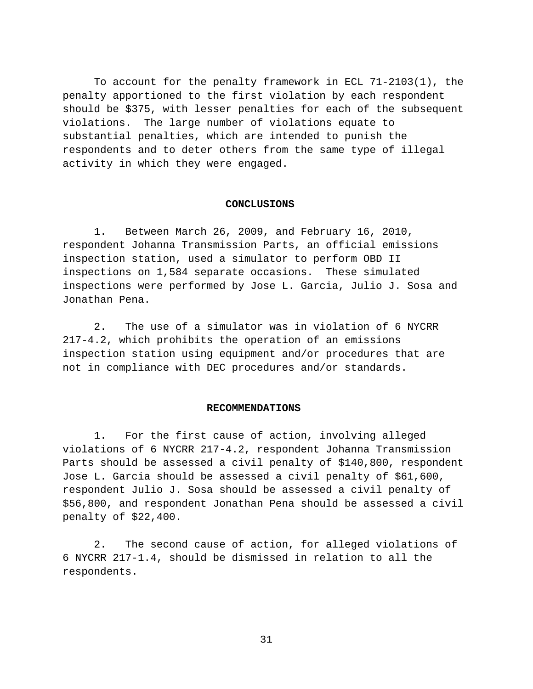To account for the penalty framework in ECL 71-2103(1), the penalty apportioned to the first violation by each respondent should be \$375, with lesser penalties for each of the subsequent violations. The large number of violations equate to substantial penalties, which are intended to punish the respondents and to deter others from the same type of illegal activity in which they were engaged.

#### **CONCLUSIONS**

1. Between March 26, 2009, and February 16, 2010, respondent Johanna Transmission Parts, an official emissions inspection station, used a simulator to perform OBD II inspections on 1,584 separate occasions. These simulated inspections were performed by Jose L. Garcia, Julio J. Sosa and Jonathan Pena.

2. The use of a simulator was in violation of 6 NYCRR 217-4.2, which prohibits the operation of an emissions inspection station using equipment and/or procedures that are not in compliance with DEC procedures and/or standards.

#### **RECOMMENDATIONS**

1. For the first cause of action, involving alleged violations of 6 NYCRR 217-4.2, respondent Johanna Transmission Parts should be assessed a civil penalty of \$140,800, respondent Jose L. Garcia should be assessed a civil penalty of \$61,600, respondent Julio J. Sosa should be assessed a civil penalty of \$56,800, and respondent Jonathan Pena should be assessed a civil penalty of \$22,400.

2. The second cause of action, for alleged violations of 6 NYCRR 217-1.4, should be dismissed in relation to all the respondents.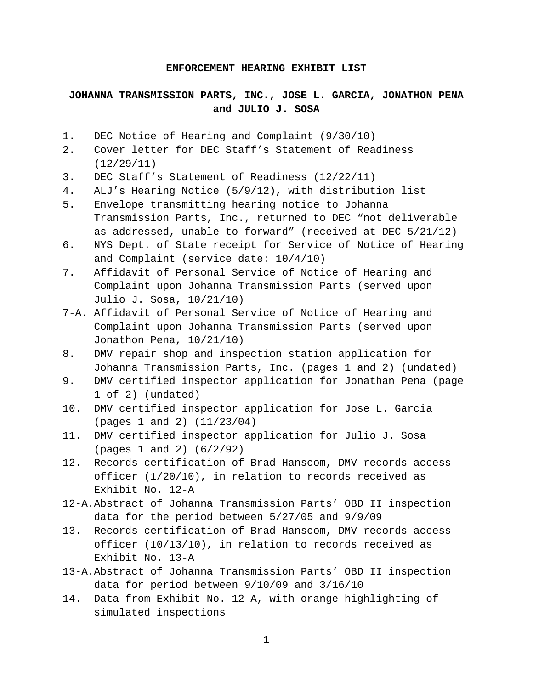### **ENFORCEMENT HEARING EXHIBIT LIST**

# **JOHANNA TRANSMISSION PARTS, INC., JOSE L. GARCIA, JONATHON PENA and JULIO J. SOSA**

- 1. DEC Notice of Hearing and Complaint (9/30/10)
- 2. Cover letter for DEC Staff's Statement of Readiness (12/29/11)
- 3. DEC Staff's Statement of Readiness (12/22/11)
- 4. ALJ's Hearing Notice (5/9/12), with distribution list
- 5. Envelope transmitting hearing notice to Johanna Transmission Parts, Inc., returned to DEC "not deliverable as addressed, unable to forward" (received at DEC 5/21/12)
- 6. NYS Dept. of State receipt for Service of Notice of Hearing and Complaint (service date: 10/4/10)
- 7. Affidavit of Personal Service of Notice of Hearing and Complaint upon Johanna Transmission Parts (served upon Julio J. Sosa, 10/21/10)
- 7-A. Affidavit of Personal Service of Notice of Hearing and Complaint upon Johanna Transmission Parts (served upon Jonathon Pena, 10/21/10)
- 8. DMV repair shop and inspection station application for Johanna Transmission Parts, Inc. (pages 1 and 2) (undated)
- 9. DMV certified inspector application for Jonathan Pena (page 1 of 2) (undated)
- 10. DMV certified inspector application for Jose L. Garcia (pages 1 and 2) (11/23/04)
- 11. DMV certified inspector application for Julio J. Sosa (pages 1 and 2) (6/2/92)
- 12. Records certification of Brad Hanscom, DMV records access officer (1/20/10), in relation to records received as Exhibit No. 12-A
- 12-A.Abstract of Johanna Transmission Parts' OBD II inspection data for the period between 5/27/05 and 9/9/09
- 13. Records certification of Brad Hanscom, DMV records access officer (10/13/10), in relation to records received as Exhibit No. 13-A
- 13-A.Abstract of Johanna Transmission Parts' OBD II inspection data for period between 9/10/09 and 3/16/10
- 14. Data from Exhibit No. 12-A, with orange highlighting of simulated inspections